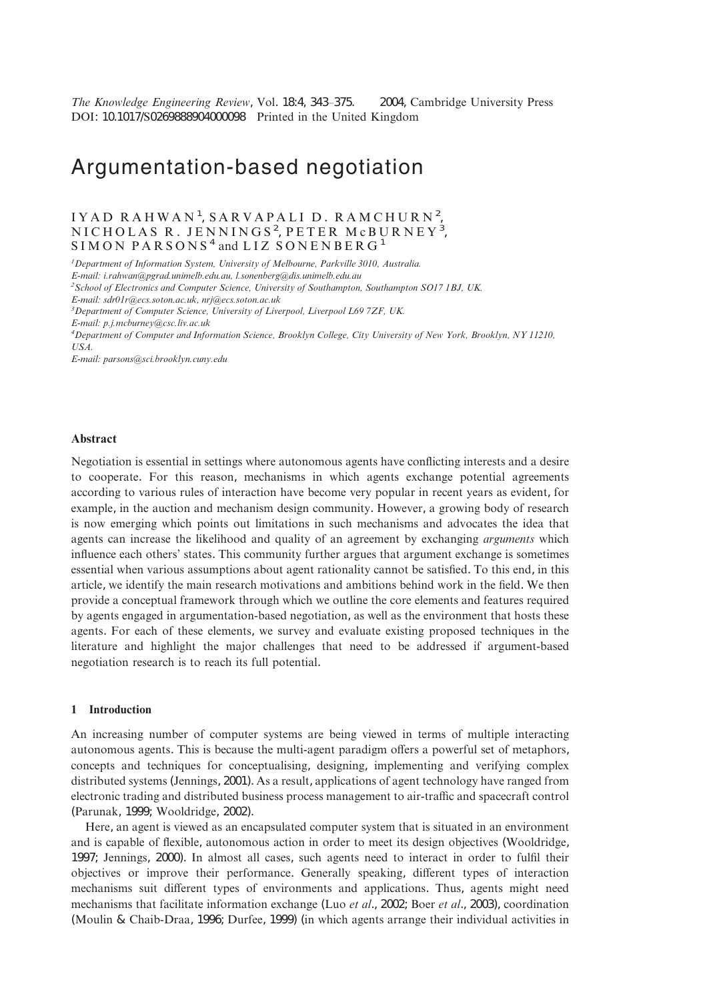*The Knowledge Engineering Review, Vol. 18:4, 343–375.* © 2004, Cambridge University Press DOI: 10.1017/S0269888904000098 Printed in the United Kingdom

# Argumentation-based negotiation

# IYAD RAHWAN<sup>1</sup>, SARVAPALI D. RAMCHURN<sup>2</sup>, NICHOLAS R. JENNINGS<sup>2</sup>, PETER McBURNEY<sup>3</sup>,  $SIMON$  PARSONS<sup>4</sup> and LIZ SONENBERG<sup>1</sup>

*1 Department of Information System, University of Melbourne, Parkville 3010, Australia.*

*E-mail: i.rahwan@pgrad.unimelb.edu.au, l.sonenberg@dis.unimelb.edu.au*

*2 School of Electronics and Computer Science, University of Southampton, Southampton SO17 1BJ, UK.*

*E-mail: sdr01r@ecs.soton.ac.uk, nrj@ecs.soton.ac.uk*

*3 Department of Computer Science, University of Liverpool, Liverpool L69 7ZF, UK.*

*E-mail: p.j.mcburney@csc.liv.ac.uk*

*4 Department of Computer and Information Science, Brooklyn College, City University of New York, Brooklyn, NY 11210, USA.*

*E-mail: parsons@sci.brooklyn.cuny.edu*

## **Abstract**

Negotiation is essential in settings where autonomous agents have conflicting interests and a desire to cooperate. For this reason, mechanisms in which agents exchange potential agreements according to various rules of interaction have become very popular in recent years as evident, for example, in the auction and mechanism design community. However, a growing body of research is now emerging which points out limitations in such mechanisms and advocates the idea that agents can increase the likelihood and quality of an agreement by exchanging *arguments* which influence each others' states. This community further argues that argument exchange is sometimes essential when various assumptions about agent rationality cannot be satisfied. To this end, in this article, we identify the main research motivations and ambitions behind work in the field. We then provide a conceptual framework through which we outline the core elements and features required by agents engaged in argumentation-based negotiation, as well as the environment that hosts these agents. For each of these elements, we survey and evaluate existing proposed techniques in the literature and highlight the major challenges that need to be addressed if argument-based negotiation research is to reach its full potential.

#### **1 Introduction**

An increasing number of computer systems are being viewed in terms of multiple interacting autonomous agents. This is because the multi-agent paradigm offers a powerful set of metaphors, concepts and techniques for conceptualising, designing, implementing and verifying complex distributed systems (Jennings, 2001). As a result, applications of agent technology have ranged from electronic trading and distributed business process management to air-traffic and spacecraft control (Parunak, 1999; Wooldridge, 2002).

Here, an agent is viewed as an encapsulated computer system that is situated in an environment and is capable of flexible, autonomous action in order to meet its design objectives (Wooldridge, 1997; Jennings, 2000). In almost all cases, such agents need to interact in order to fulfil their objectives or improve their performance. Generally speaking, different types of interaction mechanisms suit different types of environments and applications. Thus, agents might need mechanisms that facilitate information exchange (Luo *et al*., 2002; Boer *et al*., 2003), coordination (Moulin & Chaib-Draa, 1996; Durfee, 1999) (in which agents arrange their individual activities in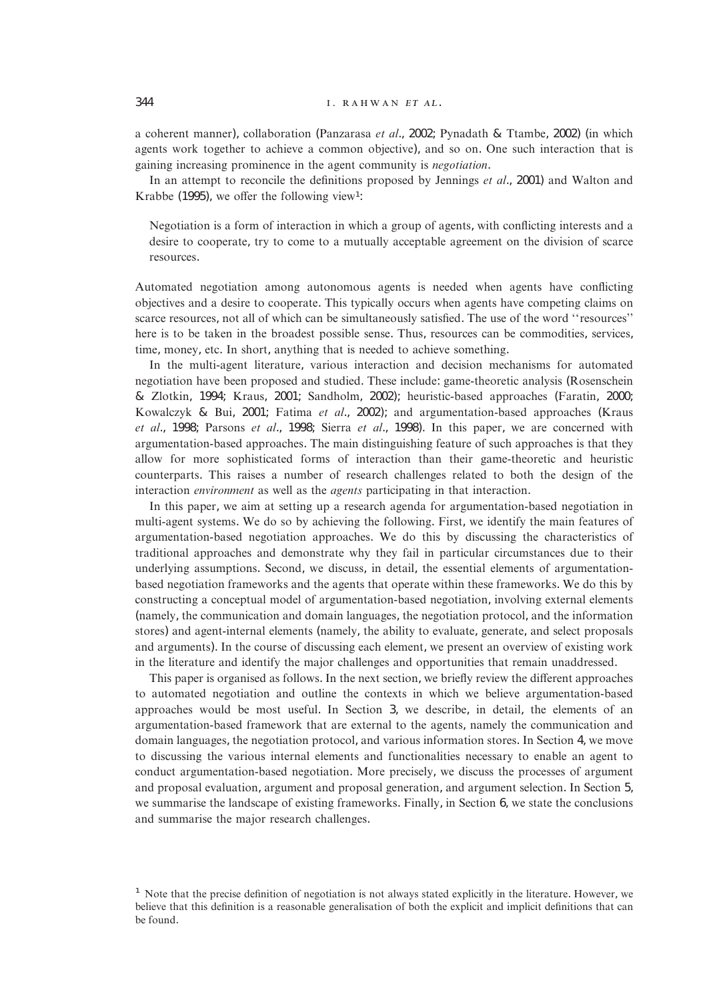## 344 **... ... ... ... ... ... ... ... ...** ... ... ... ... ... ... ... ... ... ... ... ... ... ... ... ... ... ... ... ... ... ... ... ... ... ... ... ... ... ... ... ... ... ... ... ... ... ... ... ... ... ... ... ... ...

a coherent manner), collaboration (Panzarasa *et al*., 2002; Pynadath & Ttambe, 2002) (in which agents work together to achieve a common objective), and so on. One such interaction that is gaining increasing prominence in the agent community is *negotiation*.

In an attempt to reconcile the definitions proposed by Jennings *et al*., 2001) and Walton and Krabbe (1995), we offer the following view<sup>1</sup>:

Negotiation is a form of interaction in which a group of agents, with conflicting interests and a desire to cooperate, try to come to a mutually acceptable agreement on the division of scarce resources.

Automated negotiation among autonomous agents is needed when agents have conflicting objectives and a desire to cooperate. This typically occurs when agents have competing claims on scarce resources, not all of which can be simultaneously satisfied. The use of the word ''resources'' here is to be taken in the broadest possible sense. Thus, resources can be commodities, services, time, money, etc. In short, anything that is needed to achieve something.

In the multi-agent literature, various interaction and decision mechanisms for automated negotiation have been proposed and studied. These include: game-theoretic analysis (Rosenschein & Zlotkin, 1994; Kraus, 2001; Sandholm, 2002); heuristic-based approaches (Faratin, 2000; Kowalczyk & Bui, 2001; Fatima *et al*., 2002); and argumentation-based approaches (Kraus *et al*., 1998; Parsons *et al*., 1998; Sierra *et al*., 1998). In this paper, we are concerned with argumentation-based approaches. The main distinguishing feature of such approaches is that they allow for more sophisticated forms of interaction than their game-theoretic and heuristic counterparts. This raises a number of research challenges related to both the design of the interaction *environment* as well as the *agents* participating in that interaction.

In this paper, we aim at setting up a research agenda for argumentation-based negotiation in multi-agent systems. We do so by achieving the following. First, we identify the main features of argumentation-based negotiation approaches. We do this by discussing the characteristics of traditional approaches and demonstrate why they fail in particular circumstances due to their underlying assumptions. Second, we discuss, in detail, the essential elements of argumentationbased negotiation frameworks and the agents that operate within these frameworks. We do this by constructing a conceptual model of argumentation-based negotiation, involving external elements (namely, the communication and domain languages, the negotiation protocol, and the information stores) and agent-internal elements (namely, the ability to evaluate, generate, and select proposals and arguments). In the course of discussing each element, we present an overview of existing work in the literature and identify the major challenges and opportunities that remain unaddressed.

This paper is organised as follows. In the next section, we briefly review the different approaches to automated negotiation and outline the contexts in which we believe argumentation-based approaches would be most useful. In Section 3, we describe, in detail, the elements of an argumentation-based framework that are external to the agents, namely the communication and domain languages, the negotiation protocol, and various information stores. In Section 4, we move to discussing the various internal elements and functionalities necessary to enable an agent to conduct argumentation-based negotiation. More precisely, we discuss the processes of argument and proposal evaluation, argument and proposal generation, and argument selection. In Section 5, we summarise the landscape of existing frameworks. Finally, in Section 6, we state the conclusions and summarise the major research challenges.

 $<sup>1</sup>$  Note that the precise definition of negotiation is not always stated explicitly in the literature. However, we</sup> believe that this definition is a reasonable generalisation of both the explicit and implicit definitions that can be found.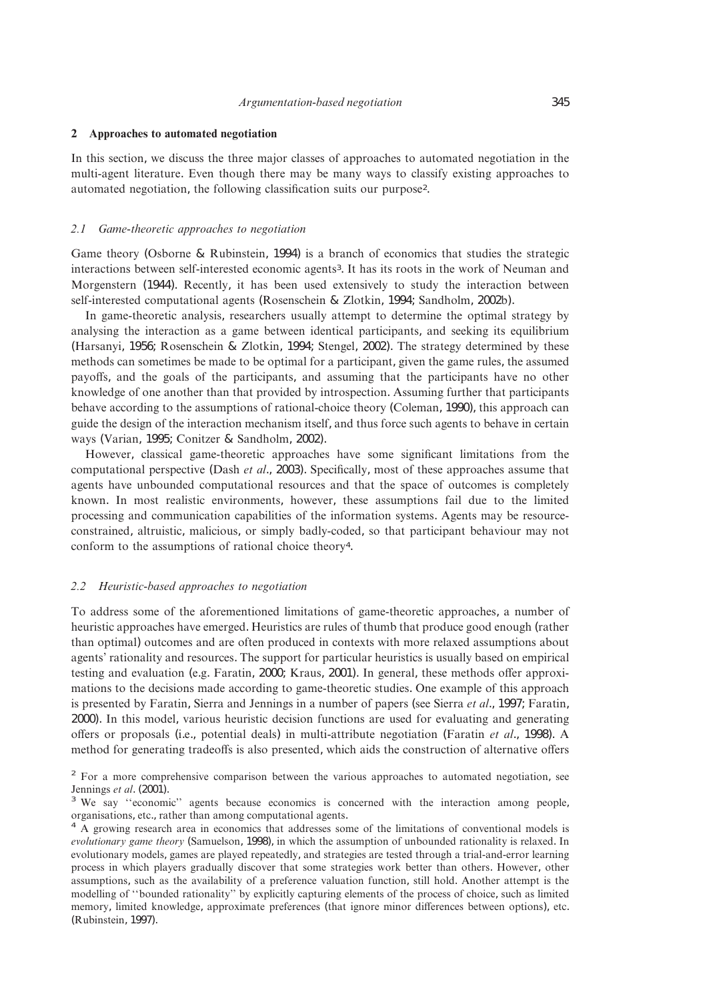#### **2 Approaches to automated negotiation**

In this section, we discuss the three major classes of approaches to automated negotiation in the multi-agent literature. Even though there may be many ways to classify existing approaches to automated negotiation, the following classification suits our purpose2.

#### *2.1 Game-theoretic approaches to negotiation*

Game theory (Osborne & Rubinstein, 1994) is a branch of economics that studies the strategic interactions between self-interested economic agents3. It has its roots in the work of Neuman and Morgenstern (1944). Recently, it has been used extensively to study the interaction between self-interested computational agents (Rosenschein & Zlotkin, 1994; Sandholm, 2002b).

In game-theoretic analysis, researchers usually attempt to determine the optimal strategy by analysing the interaction as a game between identical participants, and seeking its equilibrium (Harsanyi, 1956; Rosenschein & Zlotkin, 1994; Stengel, 2002). The strategy determined by these methods can sometimes be made to be optimal for a participant, given the game rules, the assumed payoffs, and the goals of the participants, and assuming that the participants have no other knowledge of one another than that provided by introspection. Assuming further that participants behave according to the assumptions of rational-choice theory (Coleman, 1990), this approach can guide the design of the interaction mechanism itself, and thus force such agents to behave in certain ways (Varian, 1995; Conitzer & Sandholm, 2002).

However, classical game-theoretic approaches have some significant limitations from the computational perspective (Dash *et al*., 2003). Specifically, most of these approaches assume that agents have unbounded computational resources and that the space of outcomes is completely known. In most realistic environments, however, these assumptions fail due to the limited processing and communication capabilities of the information systems. Agents may be resourceconstrained, altruistic, malicious, or simply badly-coded, so that participant behaviour may not conform to the assumptions of rational choice theory4.

## *2.2 Heuristic-based approaches to negotiation*

To address some of the aforementioned limitations of game-theoretic approaches, a number of heuristic approaches have emerged. Heuristics are rules of thumb that produce good enough (rather than optimal) outcomes and are often produced in contexts with more relaxed assumptions about agents' rationality and resources. The support for particular heuristics is usually based on empirical testing and evaluation (e.g. Faratin, 2000; Kraus, 2001). In general, these methods offer approximations to the decisions made according to game-theoretic studies. One example of this approach is presented by Faratin, Sierra and Jennings in a number of papers (see Sierra *et al*., 1997; Faratin, 2000). In this model, various heuristic decision functions are used for evaluating and generating offers or proposals (i.e., potential deals) in multi-attribute negotiation (Faratin *et al*., 1998). A method for generating tradeoffs is also presented, which aids the construction of alternative offers

<sup>&</sup>lt;sup>2</sup> For a more comprehensive comparison between the various approaches to automated negotiation, see Jennings *et al.* (2001).<br><sup>3</sup> We say "economic" agents because economics is concerned with the interaction among people,

organisations, etc., rather than among computational agents. <sup>4</sup> A growing research area in economics that addresses some of the limitations of conventional models is

*evolutionary game theory* (Samuelson, 1998), in which the assumption of unbounded rationality is relaxed. In evolutionary models, games are played repeatedly, and strategies are tested through a trial-and-error learning process in which players gradually discover that some strategies work better than others. However, other assumptions, such as the availability of a preference valuation function, still hold. Another attempt is the modelling of ''bounded rationality'' by explicitly capturing elements of the process of choice, such as limited memory, limited knowledge, approximate preferences (that ignore minor differences between options), etc. (Rubinstein, 1997).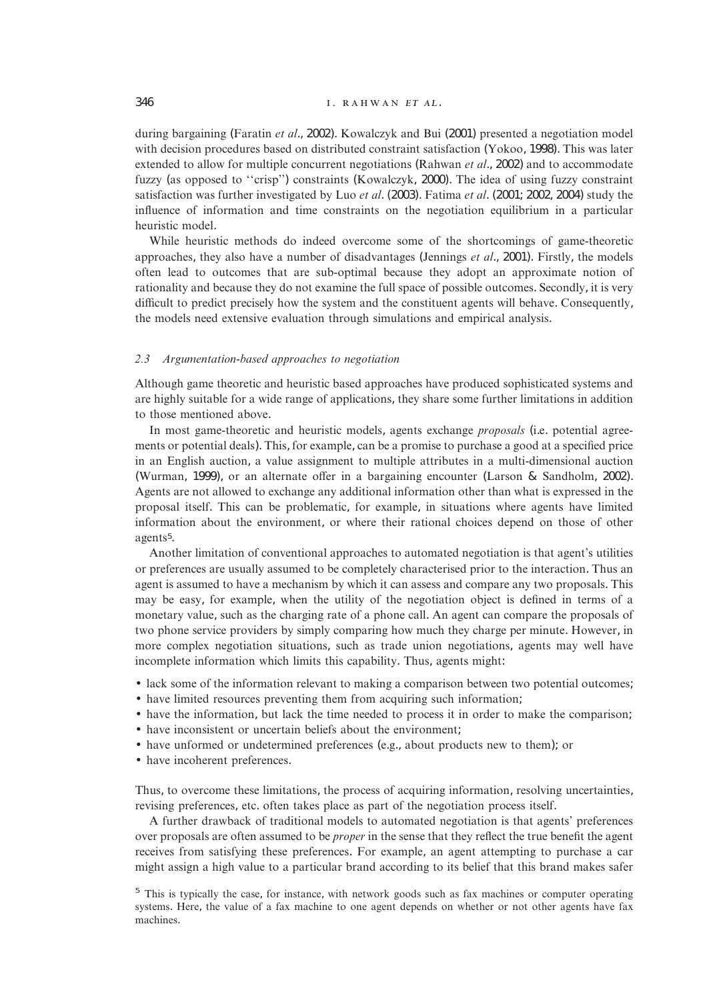## 346 **... ... ... ... ... ... ... ...** ... ... ... ... ... ... ... ... ... ... ... ... ... ... ... ... ... ... ... ... ... ... ... ... ... ... ... ... ... ... ... ... ... ... ... ... ... ... ... ... ... ... ... ... ... ...

during bargaining (Faratin *et al*., 2002). Kowalczyk and Bui (2001) presented a negotiation model with decision procedures based on distributed constraint satisfaction (Yokoo, 1998). This was later extended to allow for multiple concurrent negotiations (Rahwan *et al*., 2002) and to accommodate fuzzy (as opposed to ''crisp'') constraints (Kowalczyk, 2000). The idea of using fuzzy constraint satisfaction was further investigated by Luo *et al*. (2003). Fatima *et al*. (2001; 2002, 2004) study the influence of information and time constraints on the negotiation equilibrium in a particular heuristic model.

While heuristic methods do indeed overcome some of the shortcomings of game-theoretic approaches, they also have a number of disadvantages (Jennings *et al*., 2001). Firstly, the models often lead to outcomes that are sub-optimal because they adopt an approximate notion of rationality and because they do not examine the full space of possible outcomes. Secondly, it is very difficult to predict precisely how the system and the constituent agents will behave. Consequently, the models need extensive evaluation through simulations and empirical analysis.

#### *2.3 Argumentation-based approaches to negotiation*

Although game theoretic and heuristic based approaches have produced sophisticated systems and are highly suitable for a wide range of applications, they share some further limitations in addition to those mentioned above.

In most game-theoretic and heuristic models, agents exchange *proposals* (i.e. potential agreements or potential deals). This, for example, can be a promise to purchase a good at a specified price in an English auction, a value assignment to multiple attributes in a multi-dimensional auction (Wurman, 1999), or an alternate offer in a bargaining encounter (Larson & Sandholm, 2002). Agents are not allowed to exchange any additional information other than what is expressed in the proposal itself. This can be problematic, for example, in situations where agents have limited information about the environment, or where their rational choices depend on those of other agents5.

Another limitation of conventional approaches to automated negotiation is that agent's utilities or preferences are usually assumed to be completely characterised prior to the interaction. Thus an agent is assumed to have a mechanism by which it can assess and compare any two proposals. This may be easy, for example, when the utility of the negotiation object is defined in terms of a monetary value, such as the charging rate of a phone call. An agent can compare the proposals of two phone service providers by simply comparing how much they charge per minute. However, in more complex negotiation situations, such as trade union negotiations, agents may well have incomplete information which limits this capability. Thus, agents might:

- lack some of the information relevant to making a comparison between two potential outcomes;
- have limited resources preventing them from acquiring such information;
- have the information, but lack the time needed to process it in order to make the comparison;
- have inconsistent or uncertain beliefs about the environment;
- have unformed or undetermined preferences (e.g., about products new to them); or
- have incoherent preferences.

Thus, to overcome these limitations, the process of acquiring information, resolving uncertainties, revising preferences, etc. often takes place as part of the negotiation process itself.

A further drawback of traditional models to automated negotiation is that agents' preferences over proposals are often assumed to be *proper* in the sense that they reflect the true benefit the agent receives from satisfying these preferences. For example, an agent attempting to purchase a car might assign a high value to a particular brand according to its belief that this brand makes safer

<sup>&</sup>lt;sup>5</sup> This is typically the case, for instance, with network goods such as fax machines or computer operating systems. Here, the value of a fax machine to one agent depends on whether or not other agents have fax machines.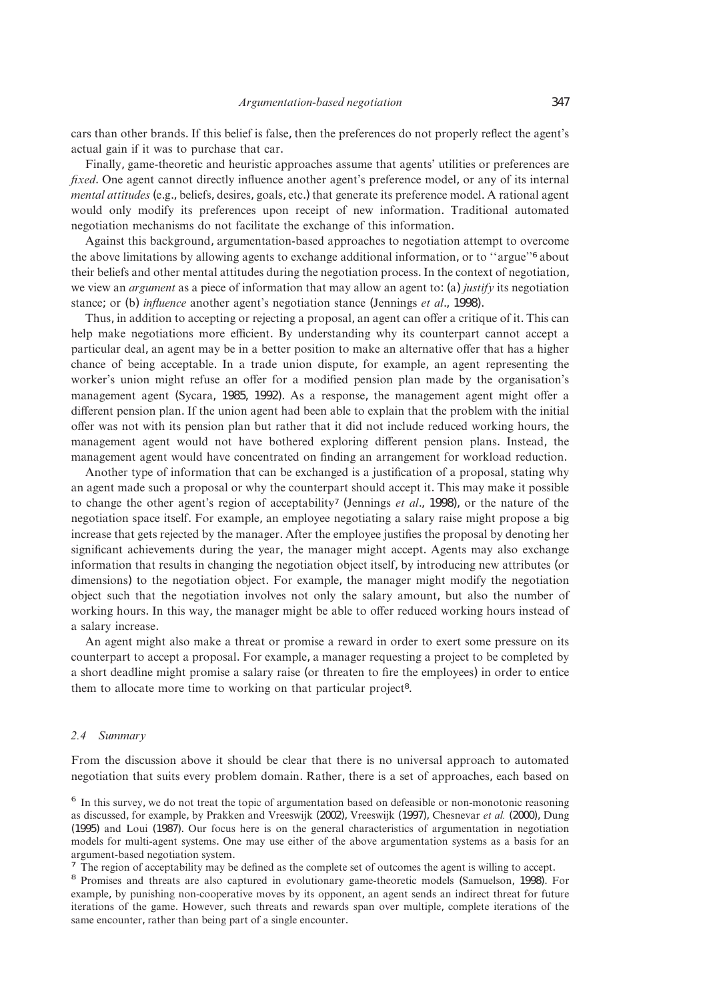cars than other brands. If this belief is false, then the preferences do not properly reflect the agent's actual gain if it was to purchase that car.

Finally, game-theoretic and heuristic approaches assume that agents' utilities or preferences are *fixed*. One agent cannot directly influence another agent's preference model, or any of its internal *mental attitudes* (e.g., beliefs, desires, goals, etc.) that generate its preference model. A rational agent would only modify its preferences upon receipt of new information. Traditional automated negotiation mechanisms do not facilitate the exchange of this information.

Against this background, argumentation-based approaches to negotiation attempt to overcome the above limitations by allowing agents to exchange additional information, or to ''argue''<sup>6</sup> about their beliefs and other mental attitudes during the negotiation process. In the context of negotiation, we view an *argument* as a piece of information that may allow an agent to: (a) *justify* its negotiation stance; or (b) *influence* another agent's negotiation stance (Jennings *et al*., 1998).

Thus, in addition to accepting or rejecting a proposal, an agent can offer a critique of it. This can help make negotiations more efficient. By understanding why its counterpart cannot accept a particular deal, an agent may be in a better position to make an alternative offer that has a higher chance of being acceptable. In a trade union dispute, for example, an agent representing the worker's union might refuse an offer for a modified pension plan made by the organisation's management agent (Sycara, 1985, 1992). As a response, the management agent might offer a different pension plan. If the union agent had been able to explain that the problem with the initial offer was not with its pension plan but rather that it did not include reduced working hours, the management agent would not have bothered exploring different pension plans. Instead, the management agent would have concentrated on finding an arrangement for workload reduction.

Another type of information that can be exchanged is a justification of a proposal, stating why an agent made such a proposal or why the counterpart should accept it. This may make it possible to change the other agent's region of acceptability<sup>7</sup> (Jennings *et al*., 1998), or the nature of the negotiation space itself. For example, an employee negotiating a salary raise might propose a big increase that gets rejected by the manager. After the employee justifies the proposal by denoting her significant achievements during the year, the manager might accept. Agents may also exchange information that results in changing the negotiation object itself, by introducing new attributes (or dimensions) to the negotiation object. For example, the manager might modify the negotiation object such that the negotiation involves not only the salary amount, but also the number of working hours. In this way, the manager might be able to offer reduced working hours instead of a salary increase.

An agent might also make a threat or promise a reward in order to exert some pressure on its counterpart to accept a proposal. For example, a manager requesting a project to be completed by a short deadline might promise a salary raise (or threaten to fire the employees) in order to entice them to allocate more time to working on that particular project<sup>8</sup>.

#### *2.4 Summary*

From the discussion above it should be clear that there is no universal approach to automated negotiation that suits every problem domain. Rather, there is a set of approaches, each based on

<sup>&</sup>lt;sup>6</sup> In this survey, we do not treat the topic of argumentation based on defeasible or non-monotonic reasoning as discussed, for example, by Prakken and Vreeswijk (2002), Vreeswijk (1997), Chesnevar *et al.* (2000), Dung (1995) and Loui (1987). Our focus here is on the general characteristics of argumentation in negotiation models for multi-agent systems. One may use either of the above argumentation systems as a basis for an The region of acceptability may be defined as the complete set of outcomes the agent is willing to accept.<br><sup>7</sup> The region of acceptability may be defined as the complete set of outcomes the agent is willing to accept.<br><sup>8</sup>

example, by punishing non-cooperative moves by its opponent, an agent sends an indirect threat for future iterations of the game. However, such threats and rewards span over multiple, complete iterations of the same encounter, rather than being part of a single encounter.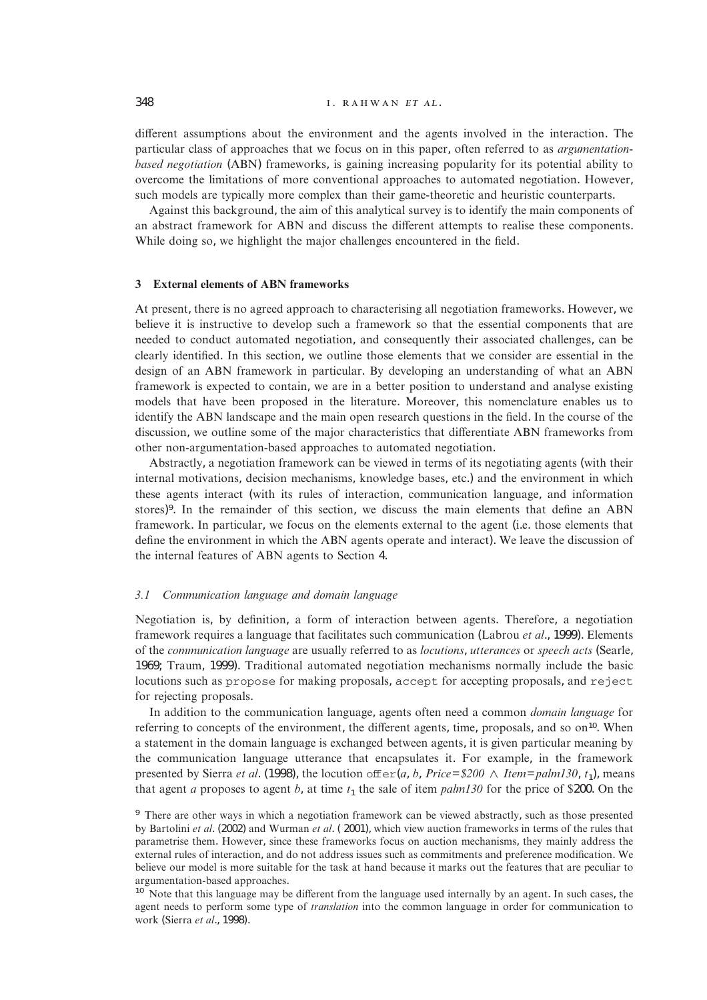## 348 **... ... ... ... ... ... I. RAHWAN ET AL.**

different assumptions about the environment and the agents involved in the interaction. The particular class of approaches that we focus on in this paper, often referred to as *argumentationbased negotiation* (ABN) frameworks, is gaining increasing popularity for its potential ability to overcome the limitations of more conventional approaches to automated negotiation. However, such models are typically more complex than their game-theoretic and heuristic counterparts.

Against this background, the aim of this analytical survey is to identify the main components of an abstract framework for ABN and discuss the different attempts to realise these components. While doing so, we highlight the major challenges encountered in the field.

## **3 External elements of ABN frameworks**

At present, there is no agreed approach to characterising all negotiation frameworks. However, we believe it is instructive to develop such a framework so that the essential components that are needed to conduct automated negotiation, and consequently their associated challenges, can be clearly identified. In this section, we outline those elements that we consider are essential in the design of an ABN framework in particular. By developing an understanding of what an ABN framework is expected to contain, we are in a better position to understand and analyse existing models that have been proposed in the literature. Moreover, this nomenclature enables us to identify the ABN landscape and the main open research questions in the field. In the course of the discussion, we outline some of the major characteristics that differentiate ABN frameworks from other non-argumentation-based approaches to automated negotiation.

Abstractly, a negotiation framework can be viewed in terms of its negotiating agents (with their internal motivations, decision mechanisms, knowledge bases, etc.) and the environment in which these agents interact (with its rules of interaction, communication language, and information stores)9. In the remainder of this section, we discuss the main elements that define an ABN framework. In particular, we focus on the elements external to the agent (i.e. those elements that define the environment in which the ABN agents operate and interact). We leave the discussion of the internal features of ABN agents to Section 4.

#### *3.1 Communication language and domain language*

Negotiation is, by definition, a form of interaction between agents. Therefore, a negotiation framework requires a language that facilitates such communication (Labrou *et al*., 1999). Elements of the *communication language* are usually referred to as *locutions*, *utterances* or *speech acts* (Searle, 1969; Traum, 1999). Traditional automated negotiation mechanisms normally include the basic locutions such as propose for making proposals, accept for accepting proposals, and reject for rejecting proposals.

In addition to the communication language, agents often need a common *domain language* for referring to concepts of the environment, the different agents, time, proposals, and so  $\alpha^{10}$ . When a statement in the domain language is exchanged between agents, it is given particular meaning by the communication language utterance that encapsulates it. For example, in the framework presented by Sierra *et al.* (1998), the locution offer(*a*, *b*, *Price*= $\frac{200}{\triangle}$  *Item*=*palm130*, *t*<sub>1</sub>), means that agent *a* proposes to agent *b*, at time  $t_1$  the sale of item  $palm130$  for the price of \$200. On the

<sup>&</sup>lt;sup>9</sup> There are other ways in which a negotiation framework can be viewed abstractly, such as those presented by Bartolini *et al*. (2002) and Wurman *et al*. ( 2001), which view auction frameworks in terms of the rules that parametrise them. However, since these frameworks focus on auction mechanisms, they mainly address the external rules of interaction, and do not address issues such as commitments and preference modification. We believe our model is more suitable for the task at hand because it marks out the features that are peculiar to argumentation-based approaches.<br><sup>10</sup> Note that this language may be different from the language used internally by an agent. In such cases, the

agent needs to perform some type of *translation* into the common language in order for communication to work (Sierra *et al*., 1998).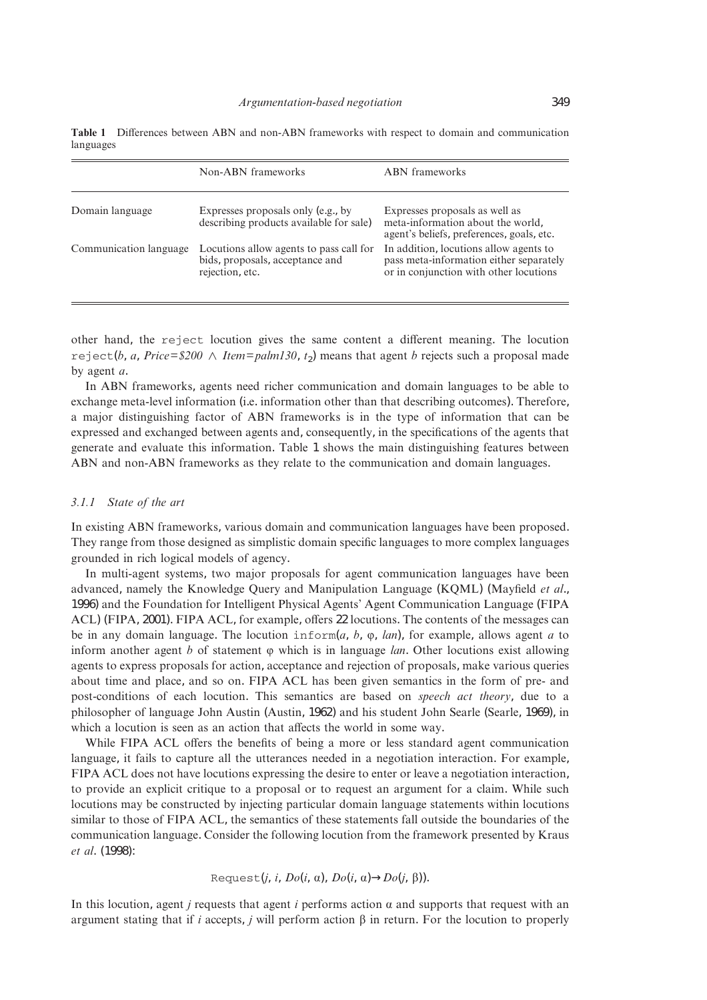|                        | Non-ABN frameworks                                                                            | <b>ABN</b> frameworks                                                                                                       |
|------------------------|-----------------------------------------------------------------------------------------------|-----------------------------------------------------------------------------------------------------------------------------|
| Domain language        | Expresses proposals only (e.g., by<br>describing products available for sale)                 | Expresses proposals as well as<br>meta-information about the world,<br>agent's beliefs, preferences, goals, etc.            |
| Communication language | Locutions allow agents to pass call for<br>bids, proposals, acceptance and<br>rejection, etc. | In addition, locutions allow agents to<br>pass meta-information either separately<br>or in conjunction with other locutions |

**Table 1** Differences between ABN and non-ABN frameworks with respect to domain and communication languages

other hand, the reject locution gives the same content a different meaning. The locution reject(*b*, *a*, *Price*= $$200 \wedge$  *Item*= $palm130$ , *t*<sub>2</sub>) means that agent *b* rejects such a proposal made by agent *a*.

In ABN frameworks, agents need richer communication and domain languages to be able to exchange meta-level information (i.e. information other than that describing outcomes). Therefore, a major distinguishing factor of ABN frameworks is in the type of information that can be expressed and exchanged between agents and, consequently, in the specifications of the agents that generate and evaluate this information. Table 1 shows the main distinguishing features between ABN and non-ABN frameworks as they relate to the communication and domain languages.

# *3.1.1 State of the art*

In existing ABN frameworks, various domain and communication languages have been proposed. They range from those designed as simplistic domain specific languages to more complex languages grounded in rich logical models of agency.

In multi-agent systems, two major proposals for agent communication languages have been advanced, namely the Knowledge Query and Manipulation Language (KQML) (Mayfield *et al*., 1996) and the Foundation for Intelligent Physical Agents' Agent Communication Language (FIPA ACL) (FIPA, 2001). FIPA ACL, for example, offers 22 locutions. The contents of the messages can be in any domain language. The locution inform $(a, b, \varphi, \text{lan})$ , for example, allows agent *a* to inform another agent *b* of statement  $\varphi$  which is in language *lan*. Other locutions exist allowing agents to express proposals for action, acceptance and rejection of proposals, make various queries about time and place, and so on. FIPA ACL has been given semantics in the form of pre- and post-conditions of each locution. This semantics are based on *speech act theory*, due to a philosopher of language John Austin (Austin, 1962) and his student John Searle (Searle, 1969), in which a locution is seen as an action that affects the world in some way.

While FIPA ACL offers the benefits of being a more or less standard agent communication language, it fails to capture all the utterances needed in a negotiation interaction. For example, FIPA ACL does not have locutions expressing the desire to enter or leave a negotiation interaction, to provide an explicit critique to a proposal or to request an argument for a claim. While such locutions may be constructed by injecting particular domain language statements within locutions similar to those of FIPA ACL, the semantics of these statements fall outside the boundaries of the communication language. Consider the following locution from the framework presented by Kraus *et al*. (1998):

Request(*j*, *i*, 
$$
Do(i, α)
$$
,  $Do(i, α)$ → $Do(j, β)$ ).

In this locution, agent *j* requests that agent *i* performs action  $\alpha$  and supports that request with an argument stating that if *i* accepts, *j* will perform action  $\beta$  in return. For the locution to properly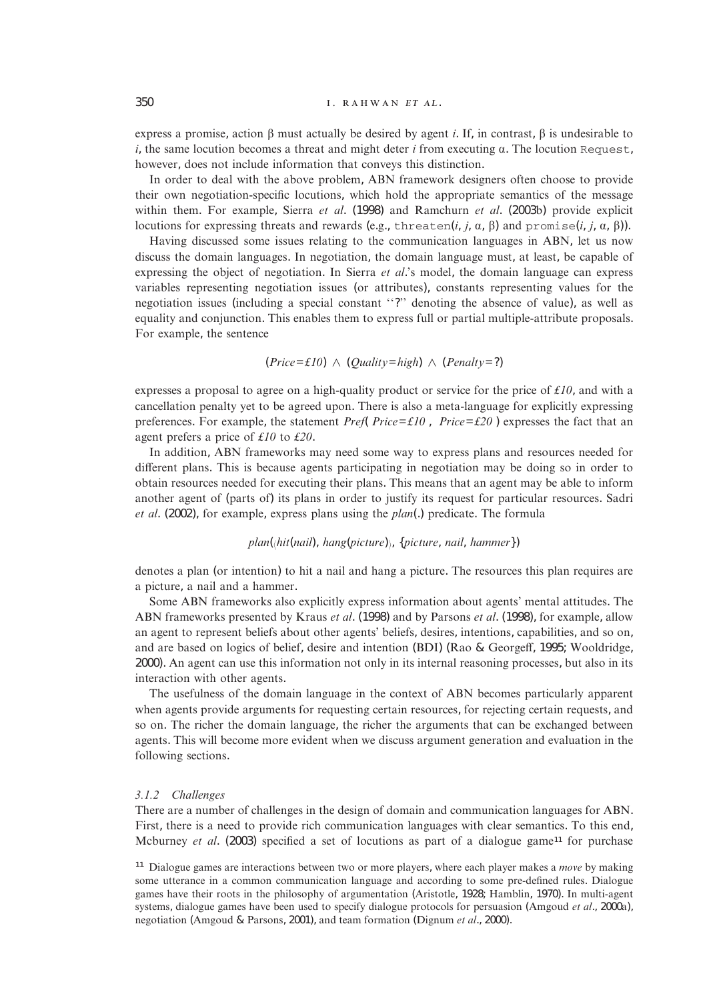express a promise, action  $\beta$  must actually be desired by agent *i*. If, in contrast,  $\beta$  is undesirable to  $i$ , the same locution becomes a threat and might deter  $i$  from executing  $\alpha$ . The locution Request, however, does not include information that conveys this distinction.

In order to deal with the above problem, ABN framework designers often choose to provide their own negotiation-specific locutions, which hold the appropriate semantics of the message within them. For example, Sierra *et al*. (1998) and Ramchurn *et al*. (2003b) provide explicit locutions for expressing threats and rewards (e.g., threaten(*i*, *j*,  $\alpha$ ,  $\beta$ ) and  $\text{promise}(i, j, \alpha, \beta)$ ).

Having discussed some issues relating to the communication languages in ABN, let us now discuss the domain languages. In negotiation, the domain language must, at least, be capable of expressing the object of negotiation. In Sierra *et al*.'s model, the domain language can express variables representing negotiation issues (or attributes), constants representing values for the negotiation issues (including a special constant ''?'' denoting the absence of value), as well as equality and conjunction. This enables them to express full or partial multiple-attribute proposals. For example, the sentence

$$
(Price = \pounds10) \land (Quality = high) \land (Penalty = ?)
$$

expresses a proposal to agree on a high-quality product or service for the price of *£10*, and with a cancellation penalty yet to be agreed upon. There is also a meta-language for explicitly expressing preferences. For example, the statement  $Pref[Price = £10]$ ,  $[Price = £20]$  expresses the fact that an agent prefers a price of *£10* to *£20*.

In addition, ABN frameworks may need some way to express plans and resources needed for different plans. This is because agents participating in negotiation may be doing so in order to obtain resources needed for executing their plans. This means that an agent may be able to inform another agent of (parts of) its plans in order to justify its request for particular resources. Sadri *et al*. (2002), for example, express plans using the *plan*(.) predicate. The formula

# $plan(\hat{h}$ *it*(*nail*), *hang*(*picture*)), {*picture*, *nail*, *hammer*})

denotes a plan (or intention) to hit a nail and hang a picture. The resources this plan requires are a picture, a nail and a hammer.

Some ABN frameworks also explicitly express information about agents' mental attitudes. The ABN frameworks presented by Kraus *et al*. (1998) and by Parsons *et al*. (1998), for example, allow an agent to represent beliefs about other agents' beliefs, desires, intentions, capabilities, and so on, and are based on logics of belief, desire and intention (BDI) (Rao & Georgeff, 1995; Wooldridge, 2000). An agent can use this information not only in its internal reasoning processes, but also in its interaction with other agents.

The usefulness of the domain language in the context of ABN becomes particularly apparent when agents provide arguments for requesting certain resources, for rejecting certain requests, and so on. The richer the domain language, the richer the arguments that can be exchanged between agents. This will become more evident when we discuss argument generation and evaluation in the following sections.

#### *3.1.2 Challenges*

There are a number of challenges in the design of domain and communication languages for ABN. First, there is a need to provide rich communication languages with clear semantics. To this end, Mcburney *et al.* (2003) specified a set of locutions as part of a dialogue game<sup>11</sup> for purchase

<sup>&</sup>lt;sup>11</sup> Dialogue games are interactions between two or more players, where each player makes a *move* by making some utterance in a common communication language and according to some pre-defined rules. Dialogue games have their roots in the philosophy of argumentation (Aristotle, 1928; Hamblin, 1970). In multi-agent systems, dialogue games have been used to specify dialogue protocols for persuasion (Amgoud *et al*., 2000a), negotiation (Amgoud & Parsons, 2001), and team formation (Dignum *et al*., 2000).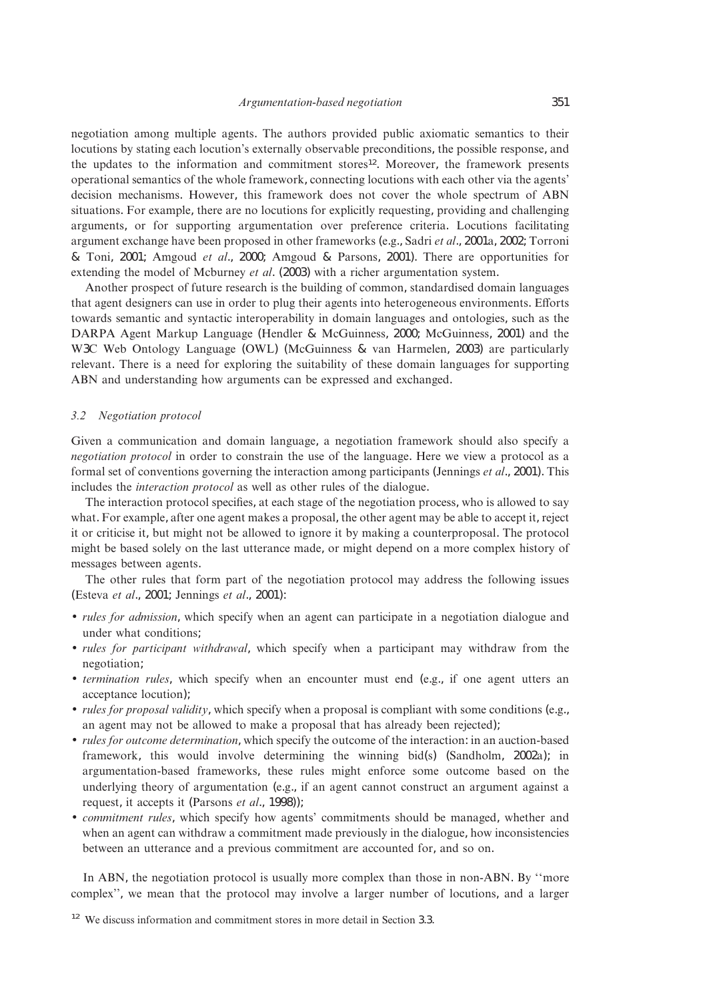negotiation among multiple agents. The authors provided public axiomatic semantics to their locutions by stating each locution's externally observable preconditions, the possible response, and the updates to the information and commitment stores<sup>12</sup>. Moreover, the framework presents operational semantics of the whole framework, connecting locutions with each other via the agents' decision mechanisms. However, this framework does not cover the whole spectrum of ABN situations. For example, there are no locutions for explicitly requesting, providing and challenging arguments, or for supporting argumentation over preference criteria. Locutions facilitating argument exchange have been proposed in other frameworks (e.g., Sadri *et al*., 2001a, 2002; Torroni & Toni, 2001; Amgoud *et al*., 2000; Amgoud & Parsons, 2001). There are opportunities for extending the model of Mcburney *et al*. (2003) with a richer argumentation system.

Another prospect of future research is the building of common, standardised domain languages that agent designers can use in order to plug their agents into heterogeneous environments. Efforts towards semantic and syntactic interoperability in domain languages and ontologies, such as the DARPA Agent Markup Language (Hendler & McGuinness, 2000; McGuinness, 2001) and the W3C Web Ontology Language (OWL) (McGuinness & van Harmelen, 2003) are particularly relevant. There is a need for exploring the suitability of these domain languages for supporting ABN and understanding how arguments can be expressed and exchanged.

#### *3.2 Negotiation protocol*

Given a communication and domain language, a negotiation framework should also specify a *negotiation protocol* in order to constrain the use of the language. Here we view a protocol as a formal set of conventions governing the interaction among participants (Jennings *et al*., 2001). This includes the *interaction protocol* as well as other rules of the dialogue.

The interaction protocol specifies, at each stage of the negotiation process, who is allowed to say what. For example, after one agent makes a proposal, the other agent may be able to accept it, reject it or criticise it, but might not be allowed to ignore it by making a counterproposal. The protocol might be based solely on the last utterance made, or might depend on a more complex history of messages between agents.

The other rules that form part of the negotiation protocol may address the following issues (Esteva *et al*., 2001; Jennings *et al*., 2001):

- *rules for admission*, which specify when an agent can participate in a negotiation dialogue and under what conditions;
- *rules for participant withdrawal*, which specify when a participant may withdraw from the negotiation;
- *termination rules*, which specify when an encounter must end (e.g., if one agent utters an acceptance locution);
- *rules for proposal validity*, which specify when a proposal is compliant with some conditions (e.g., an agent may not be allowed to make a proposal that has already been rejected);
- *rules for outcome determination*, which specify the outcome of the interaction: in an auction-based framework, this would involve determining the winning bid(s) (Sandholm, 2002a); in argumentation-based frameworks, these rules might enforce some outcome based on the underlying theory of argumentation (e.g., if an agent cannot construct an argument against a request, it accepts it (Parsons *et al*., 1998));
- *commitment rules*, which specify how agents' commitments should be managed, whether and when an agent can withdraw a commitment made previously in the dialogue, how inconsistencies between an utterance and a previous commitment are accounted for, and so on.

In ABN, the negotiation protocol is usually more complex than those in non-ABN. By "more complex'', we mean that the protocol may involve a larger number of locutions, and a larger

<sup>&</sup>lt;sup>12</sup> We discuss information and commitment stores in more detail in Section 3.3.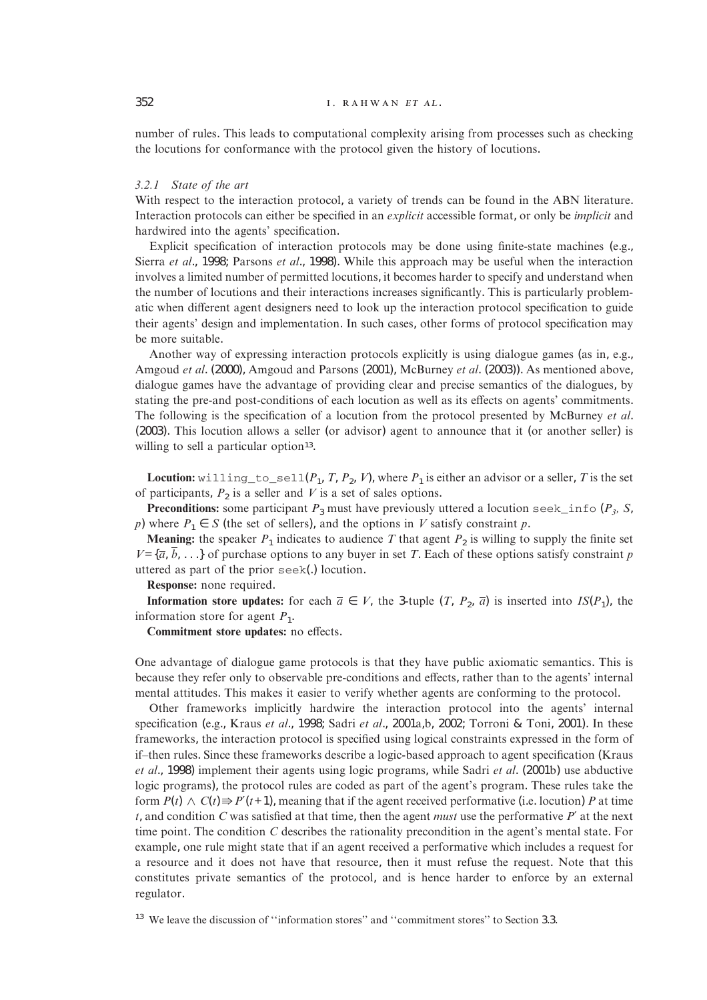number of rules. This leads to computational complexity arising from processes such as checking the locutions for conformance with the protocol given the history of locutions.

#### *3.2.1 State of the art*

With respect to the interaction protocol, a variety of trends can be found in the ABN literature. Interaction protocols can either be specified in an *explicit* accessible format, or only be *implicit* and hardwired into the agents' specification.

Explicit specification of interaction protocols may be done using finite-state machines (e.g., Sierra *et al*., 1998; Parsons *et al*., 1998). While this approach may be useful when the interaction involves a limited number of permitted locutions, it becomes harder to specify and understand when the number of locutions and their interactions increases significantly. This is particularly problematic when different agent designers need to look up the interaction protocol specification to guide their agents' design and implementation. In such cases, other forms of protocol specification may be more suitable.

Another way of expressing interaction protocols explicitly is using dialogue games (as in, e.g., Amgoud *et al*. (2000), Amgoud and Parsons (2001), McBurney *et al*. (2003)). As mentioned above, dialogue games have the advantage of providing clear and precise semantics of the dialogues, by stating the pre-and post-conditions of each locution as well as its effects on agents' commitments. The following is the specification of a locution from the protocol presented by McBurney *et al*. (2003). This locution allows a seller (or advisor) agent to announce that it (or another seller) is willing to sell a particular option<sup>13</sup>.

**Locution:** willing to sell( $P_1$ ,  $T$ ,  $P_2$ ,  $V$ ), where  $P_1$  is either an advisor or a seller,  $T$  is the set of participants,  $P_2$  is a seller and  $V$  is a set of sales options.

**Preconditions:** some participant  $P_3$  must have previously uttered a locution seek\_info ( $P_3$ , S, *p*) where  $P_1 \in S$  (the set of sellers), and the options in *V* satisfy constraint *p*.

**Meaning:** the speaker  $P_1$  indicates to audience T that agent  $P_2$  is willing to supply the finite set  $V = \{\overline{a}, \overline{b}, \ldots\}$  of purchase options to any buyer in set *T*. Each of these options satisfy constraint *p* uttered as part of the prior seek(.) locution.

**Response:** none required.

**Information store updates:** for each  $\overline{a} \in V$ , the 3-tuple  $(T, P_2, \overline{a})$  is inserted into  $IS(P_1)$ , the information store for agent  $P_1$ .

**Commitment store updates:** no effects.

One advantage of dialogue game protocols is that they have public axiomatic semantics. This is because they refer only to observable pre-conditions and effects, rather than to the agents' internal mental attitudes. This makes it easier to verify whether agents are conforming to the protocol.

Other frameworks implicitly hardwire the interaction protocol into the agents' internal specification (e.g., Kraus *et al*., 1998; Sadri *et al*., 2001a,b, 2002; Torroni & Toni, 2001). In these frameworks, the interaction protocol is specified using logical constraints expressed in the form of if–then rules. Since these frameworks describe a logic-based approach to agent specification (Kraus *et al*., 1998) implement their agents using logic programs, while Sadri *et al*. (2001b) use abductive logic programs), the protocol rules are coded as part of the agent's program. These rules take the form  $P(t) \wedge C(t) \Rightarrow P'(t+1)$ , meaning that if the agent received performative (i.e. locution) *P* at time *t*, and condition *C* was satisfied at that time, then the agent *must* use the performative *P*′ at the next time point. The condition *C* describes the rationality precondition in the agent's mental state. For example, one rule might state that if an agent received a performative which includes a request for a resource and it does not have that resource, then it must refuse the request. Note that this constitutes private semantics of the protocol, and is hence harder to enforce by an external regulator.

<sup>13</sup> We leave the discussion of "information stores" and "commitment stores" to Section 3.3.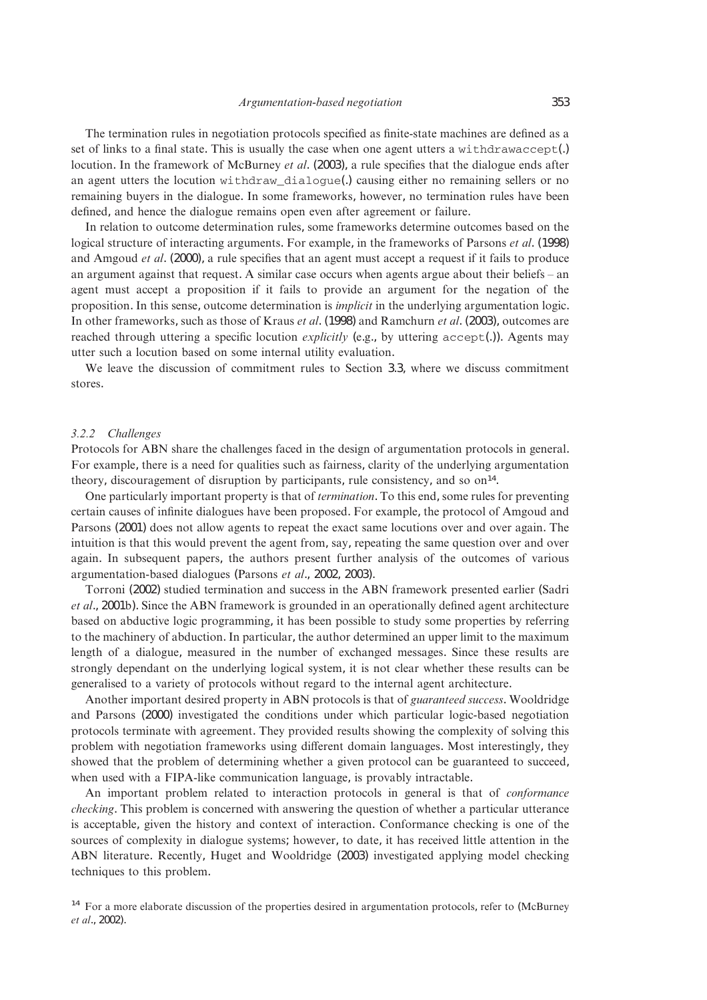The termination rules in negotiation protocols specified as finite-state machines are defined as a set of links to a final state. This is usually the case when one agent utters a withdrawaccept(.) locution. In the framework of McBurney *et al*. (2003), a rule specifies that the dialogue ends after an agent utters the locution withdraw\_dialogue(.) causing either no remaining sellers or no remaining buyers in the dialogue. In some frameworks, however, no termination rules have been defined, and hence the dialogue remains open even after agreement or failure.

In relation to outcome determination rules, some frameworks determine outcomes based on the logical structure of interacting arguments. For example, in the frameworks of Parsons *et al*. (1998) and Amgoud *et al*. (2000), a rule specifies that an agent must accept a request if it fails to produce an argument against that request. A similar case occurs when agents argue about their beliefs – an agent must accept a proposition if it fails to provide an argument for the negation of the proposition. In this sense, outcome determination is *implicit* in the underlying argumentation logic. In other frameworks, such as those of Kraus *et al*. (1998) and Ramchurn *et al*. (2003), outcomes are reached through uttering a specific locution *explicitly* (e.g., by uttering accept(.)). Agents may utter such a locution based on some internal utility evaluation.

We leave the discussion of commitment rules to Section 3.3, where we discuss commitment stores.

#### *3.2.2 Challenges*

Protocols for ABN share the challenges faced in the design of argumentation protocols in general. For example, there is a need for qualities such as fairness, clarity of the underlying argumentation theory, discouragement of disruption by participants, rule consistency, and so on14.

One particularly important property is that of *termination*. To this end, some rules for preventing certain causes of infinite dialogues have been proposed. For example, the protocol of Amgoud and Parsons (2001) does not allow agents to repeat the exact same locutions over and over again. The intuition is that this would prevent the agent from, say, repeating the same question over and over again. In subsequent papers, the authors present further analysis of the outcomes of various argumentation-based dialogues (Parsons *et al*., 2002, 2003).

Torroni (2002) studied termination and success in the ABN framework presented earlier (Sadri *et al*., 2001b). Since the ABN framework is grounded in an operationally defined agent architecture based on abductive logic programming, it has been possible to study some properties by referring to the machinery of abduction. In particular, the author determined an upper limit to the maximum length of a dialogue, measured in the number of exchanged messages. Since these results are strongly dependant on the underlying logical system, it is not clear whether these results can be generalised to a variety of protocols without regard to the internal agent architecture.

Another important desired property in ABN protocols is that of *guaranteed success*. Wooldridge and Parsons (2000) investigated the conditions under which particular logic-based negotiation protocols terminate with agreement. They provided results showing the complexity of solving this problem with negotiation frameworks using different domain languages. Most interestingly, they showed that the problem of determining whether a given protocol can be guaranteed to succeed, when used with a FIPA-like communication language, is provably intractable.

An important problem related to interaction protocols in general is that of *conformance checking*. This problem is concerned with answering the question of whether a particular utterance is acceptable, given the history and context of interaction. Conformance checking is one of the sources of complexity in dialogue systems; however, to date, it has received little attention in the ABN literature. Recently, Huget and Wooldridge (2003) investigated applying model checking techniques to this problem.

<sup>&</sup>lt;sup>14</sup> For a more elaborate discussion of the properties desired in argumentation protocols, refer to (McBurney *et al*., 2002).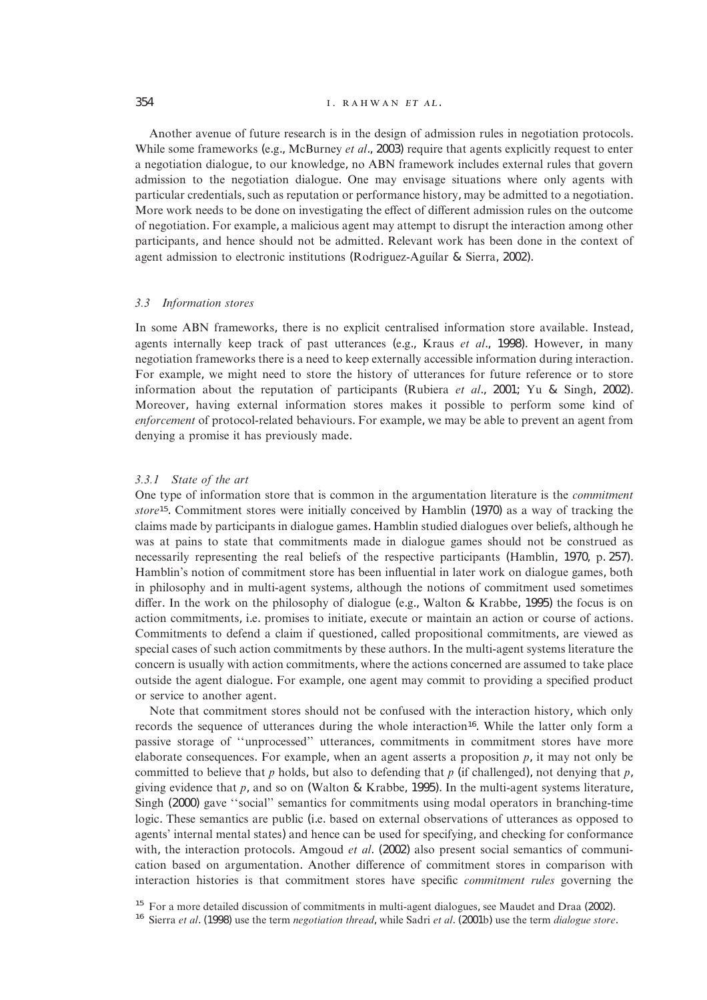## $354$   $I. RAHWAN ET AL.$

Another avenue of future research is in the design of admission rules in negotiation protocols. While some frameworks (e.g., McBurney *et al*., 2003) require that agents explicitly request to enter a negotiation dialogue, to our knowledge, no ABN framework includes external rules that govern admission to the negotiation dialogue. One may envisage situations where only agents with particular credentials, such as reputation or performance history, may be admitted to a negotiation. More work needs to be done on investigating the effect of different admission rules on the outcome of negotiation. For example, a malicious agent may attempt to disrupt the interaction among other participants, and hence should not be admitted. Relevant work has been done in the context of agent admission to electronic institutions (Rodriguez-Aguílar & Sierra, 2002).

#### *3.3 Information stores*

In some ABN frameworks, there is no explicit centralised information store available. Instead, agents internally keep track of past utterances (e.g., Kraus *et al*., 1998). However, in many negotiation frameworks there is a need to keep externally accessible information during interaction. For example, we might need to store the history of utterances for future reference or to store information about the reputation of participants (Rubiera *et al*., 2001; Yu & Singh, 2002). Moreover, having external information stores makes it possible to perform some kind of *enforcement* of protocol-related behaviours. For example, we may be able to prevent an agent from denying a promise it has previously made.

## *3.3.1 State of the art*

One type of information store that is common in the argumentation literature is the *commitment store*15. Commitment stores were initially conceived by Hamblin (1970) as a way of tracking the claims made by participants in dialogue games. Hamblin studied dialogues over beliefs, although he was at pains to state that commitments made in dialogue games should not be construed as necessarily representing the real beliefs of the respective participants (Hamblin, 1970, p. 257). Hamblin's notion of commitment store has been influential in later work on dialogue games, both in philosophy and in multi-agent systems, although the notions of commitment used sometimes differ. In the work on the philosophy of dialogue (e.g., Walton & Krabbe, 1995) the focus is on action commitments, i.e. promises to initiate, execute or maintain an action or course of actions. Commitments to defend a claim if questioned, called propositional commitments, are viewed as special cases of such action commitments by these authors. In the multi-agent systems literature the concern is usually with action commitments, where the actions concerned are assumed to take place outside the agent dialogue. For example, one agent may commit to providing a specified product or service to another agent.

Note that commitment stores should not be confused with the interaction history, which only records the sequence of utterances during the whole interaction<sup>16</sup>. While the latter only form a passive storage of ''unprocessed'' utterances, commitments in commitment stores have more elaborate consequences. For example, when an agent asserts a proposition  $p$ , it may not only be committed to believe that *p* holds, but also to defending that *p* (if challenged), not denying that *p*, giving evidence that *p*, and so on (Walton & Krabbe, 1995). In the multi-agent systems literature, Singh (2000) gave ''social'' semantics for commitments using modal operators in branching-time logic. These semantics are public (i.e. based on external observations of utterances as opposed to agents' internal mental states) and hence can be used for specifying, and checking for conformance with, the interaction protocols. Amgoud *et al.* (2002) also present social semantics of communication based on argumentation. Another difference of commitment stores in comparison with interaction histories is that commitment stores have specific *commitment rules* governing the

<sup>15</sup> For a more detailed discussion of commitments in multi-agent dialogues, see Maudet and Draa (2002).<br><sup>16</sup> Sierra *et al.* (1998) use the term *negotiation thread*, while Sadri *et al.* (2001b) use the term *dialogue s*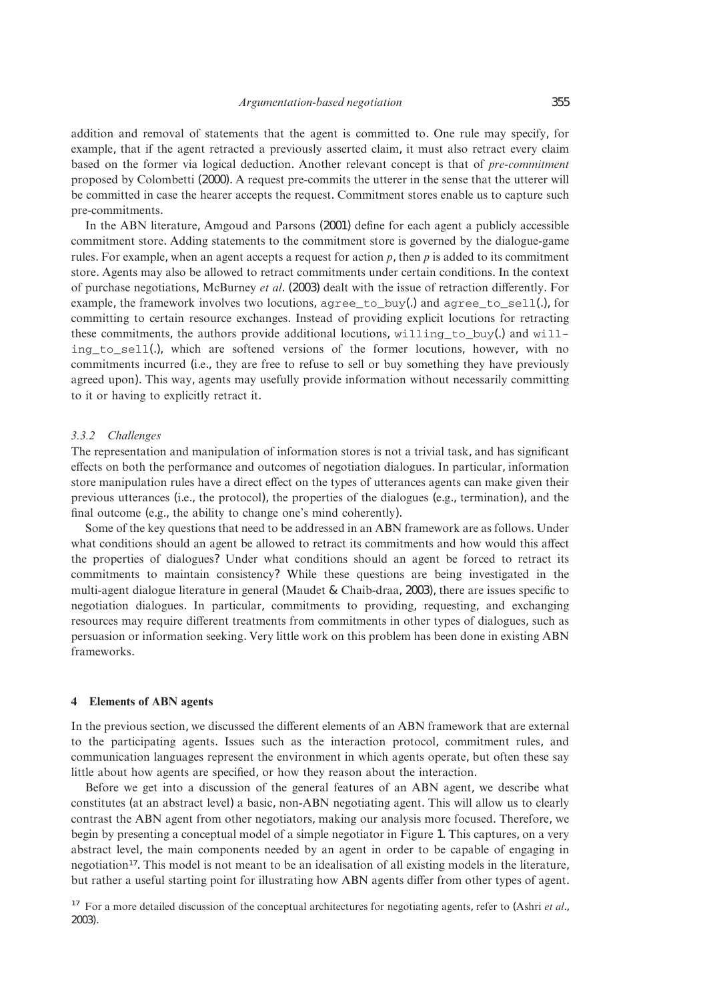addition and removal of statements that the agent is committed to. One rule may specify, for example, that if the agent retracted a previously asserted claim, it must also retract every claim based on the former via logical deduction. Another relevant concept is that of *pre-commitment* proposed by Colombetti (2000). A request pre-commits the utterer in the sense that the utterer will be committed in case the hearer accepts the request. Commitment stores enable us to capture such pre-commitments.

In the ABN literature, Amgoud and Parsons (2001) define for each agent a publicly accessible commitment store. Adding statements to the commitment store is governed by the dialogue-game rules. For example, when an agent accepts a request for action *p*, then *p* is added to its commitment store. Agents may also be allowed to retract commitments under certain conditions. In the context of purchase negotiations, McBurney *et al*. (2003) dealt with the issue of retraction differently. For example, the framework involves two locutions, agree\_to\_buy(.) and agree\_to\_sell(.), for committing to certain resource exchanges. Instead of providing explicit locutions for retracting these commitments, the authors provide additional locutions, willing to buy(.) and willing to sell(.), which are softened versions of the former locutions, however, with no commitments incurred (i.e., they are free to refuse to sell or buy something they have previously agreed upon). This way, agents may usefully provide information without necessarily committing to it or having to explicitly retract it.

#### *3.3.2 Challenges*

The representation and manipulation of information stores is not a trivial task, and has significant effects on both the performance and outcomes of negotiation dialogues. In particular, information store manipulation rules have a direct effect on the types of utterances agents can make given their previous utterances (i.e., the protocol), the properties of the dialogues (e.g., termination), and the final outcome (e.g., the ability to change one's mind coherently).

Some of the key questions that need to be addressed in an ABN framework are as follows. Under what conditions should an agent be allowed to retract its commitments and how would this affect the properties of dialogues? Under what conditions should an agent be forced to retract its commitments to maintain consistency? While these questions are being investigated in the multi-agent dialogue literature in general (Maudet & Chaib-draa, 2003), there are issues specific to negotiation dialogues. In particular, commitments to providing, requesting, and exchanging resources may require different treatments from commitments in other types of dialogues, such as persuasion or information seeking. Very little work on this problem has been done in existing ABN frameworks.

#### **4 Elements of ABN agents**

In the previous section, we discussed the different elements of an ABN framework that are external to the participating agents. Issues such as the interaction protocol, commitment rules, and communication languages represent the environment in which agents operate, but often these say little about how agents are specified, or how they reason about the interaction.

Before we get into a discussion of the general features of an ABN agent, we describe what constitutes (at an abstract level) a basic, non-ABN negotiating agent. This will allow us to clearly contrast the ABN agent from other negotiators, making our analysis more focused. Therefore, we begin by presenting a conceptual model of a simple negotiator in Figure 1. This captures, on a very abstract level, the main components needed by an agent in order to be capable of engaging in negotiation17. This model is not meant to be an idealisation of all existing models in the literature, but rather a useful starting point for illustrating how ABN agents differ from other types of agent.

<sup>17</sup> For a more detailed discussion of the conceptual architectures for negotiating agents, refer to (Ashri *et al*., 2003).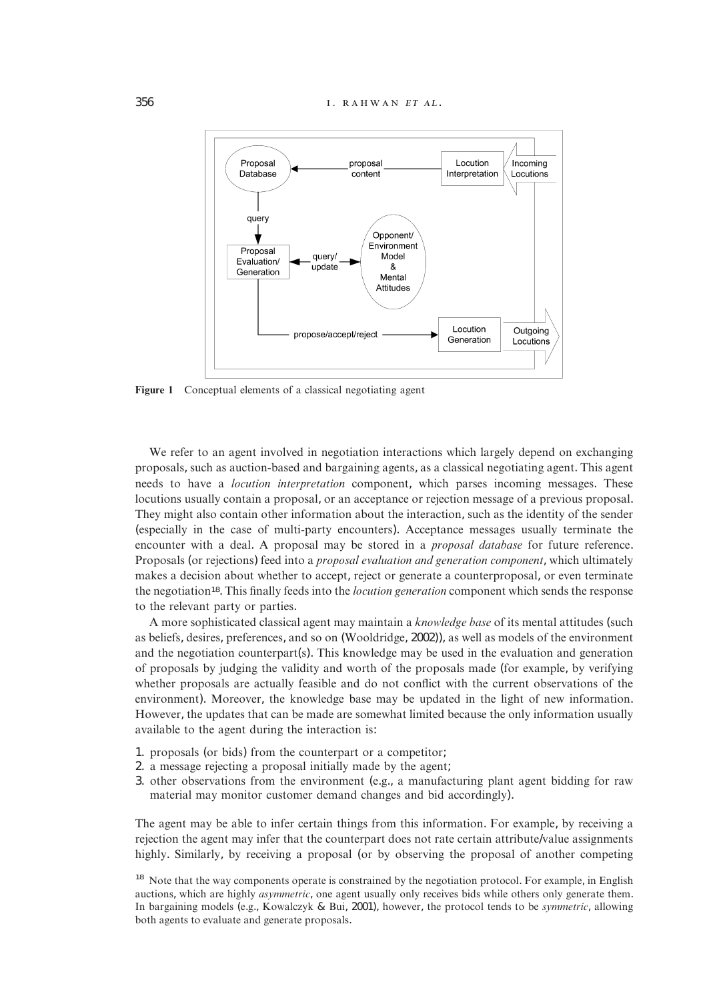

Figure 1 Conceptual elements of a classical negotiating agent

We refer to an agent involved in negotiation interactions which largely depend on exchanging proposals, such as auction-based and bargaining agents, as a classical negotiating agent. This agent needs to have a *locution interpretation* component, which parses incoming messages. These locutions usually contain a proposal, or an acceptance or rejection message of a previous proposal. They might also contain other information about the interaction, such as the identity of the sender (especially in the case of multi-party encounters). Acceptance messages usually terminate the encounter with a deal. A proposal may be stored in a *proposal database* for future reference. Proposals (or rejections) feed into a *proposal evaluation and generation component*, which ultimately makes a decision about whether to accept, reject or generate a counterproposal, or even terminate the negotiation18. This finally feeds into the *locution generation* component which sends the response to the relevant party or parties.

A more sophisticated classical agent may maintain a *knowledge base* of its mental attitudes (such as beliefs, desires, preferences, and so on (Wooldridge, 2002)), as well as models of the environment and the negotiation counterpart(s). This knowledge may be used in the evaluation and generation of proposals by judging the validity and worth of the proposals made (for example, by verifying whether proposals are actually feasible and do not conflict with the current observations of the environment). Moreover, the knowledge base may be updated in the light of new information. However, the updates that can be made are somewhat limited because the only information usually available to the agent during the interaction is:

- 1. proposals (or bids) from the counterpart or a competitor;
- 2. a message rejecting a proposal initially made by the agent;
- 3. other observations from the environment (e.g., a manufacturing plant agent bidding for raw material may monitor customer demand changes and bid accordingly).

The agent may be able to infer certain things from this information. For example, by receiving a rejection the agent may infer that the counterpart does not rate certain attribute/value assignments highly. Similarly, by receiving a proposal (or by observing the proposal of another competing

<sup>&</sup>lt;sup>18</sup> Note that the way components operate is constrained by the negotiation protocol. For example, in English auctions, which are highly *asymmetric*, one agent usually only receives bids while others only generate them. In bargaining models (e.g., Kowalczyk & Bui, 2001), however, the protocol tends to be *symmetric*, allowing both agents to evaluate and generate proposals.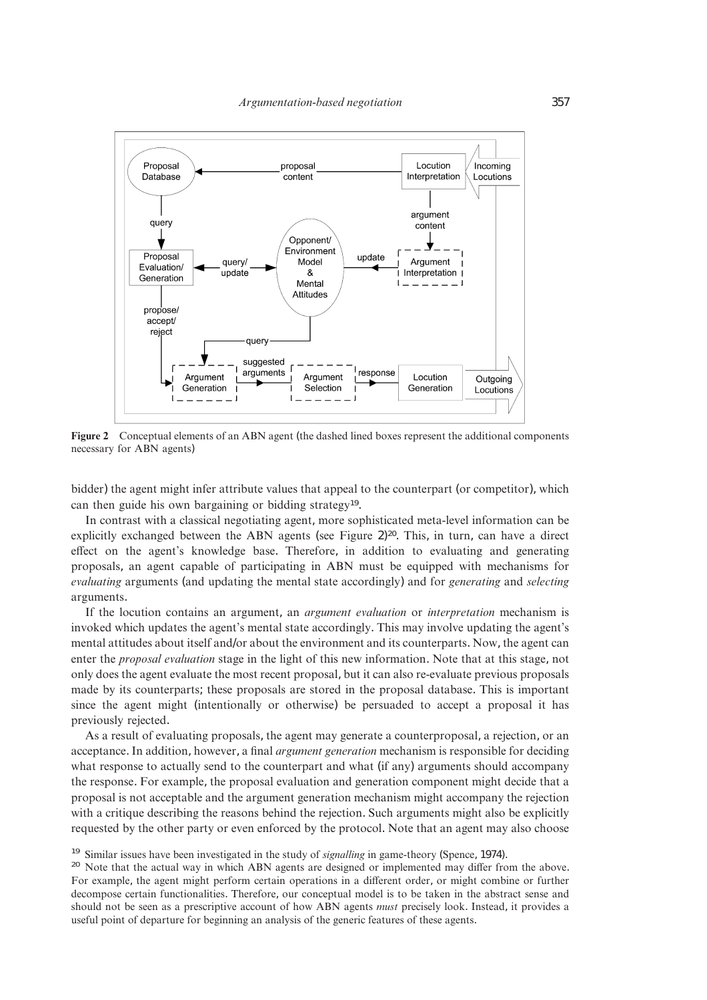

**Figure 2** Conceptual elements of an ABN agent (the dashed lined boxes represent the additional components necessary for ABN agents)

bidder) the agent might infer attribute values that appeal to the counterpart (or competitor), which can then guide his own bargaining or bidding strategy<sup>19</sup>.

In contrast with a classical negotiating agent, more sophisticated meta-level information can be explicitly exchanged between the ABN agents (see Figure 2)<sup>20</sup>. This, in turn, can have a direct effect on the agent's knowledge base. Therefore, in addition to evaluating and generating proposals, an agent capable of participating in ABN must be equipped with mechanisms for *evaluating* arguments (and updating the mental state accordingly) and for *generating* and *selecting* arguments.

If the locution contains an argument, an *argument evaluation* or *interpretation* mechanism is invoked which updates the agent's mental state accordingly. This may involve updating the agent's mental attitudes about itself and/or about the environment and its counterparts. Now, the agent can enter the *proposal evaluation* stage in the light of this new information. Note that at this stage, not only does the agent evaluate the most recent proposal, but it can also re-evaluate previous proposals made by its counterparts; these proposals are stored in the proposal database. This is important since the agent might (intentionally or otherwise) be persuaded to accept a proposal it has previously rejected.

As a result of evaluating proposals, the agent may generate a counterproposal, a rejection, or an acceptance. In addition, however, a final *argument generation* mechanism is responsible for deciding what response to actually send to the counterpart and what (if any) arguments should accompany the response. For example, the proposal evaluation and generation component might decide that a proposal is not acceptable and the argument generation mechanism might accompany the rejection with a critique describing the reasons behind the rejection. Such arguments might also be explicitly requested by the other party or even enforced by the protocol. Note that an agent may also choose

<sup>&</sup>lt;sup>19</sup> Similar issues have been investigated in the study of *signalling* in game-theory (Spence, 1974).<br><sup>20</sup> Note that the actual way in which ABN agents are designed or implemented may differ from the above. For example, the agent might perform certain operations in a different order, or might combine or further decompose certain functionalities. Therefore, our conceptual model is to be taken in the abstract sense and should not be seen as a prescriptive account of how ABN agents *must* precisely look. Instead, it provides a useful point of departure for beginning an analysis of the generic features of these agents.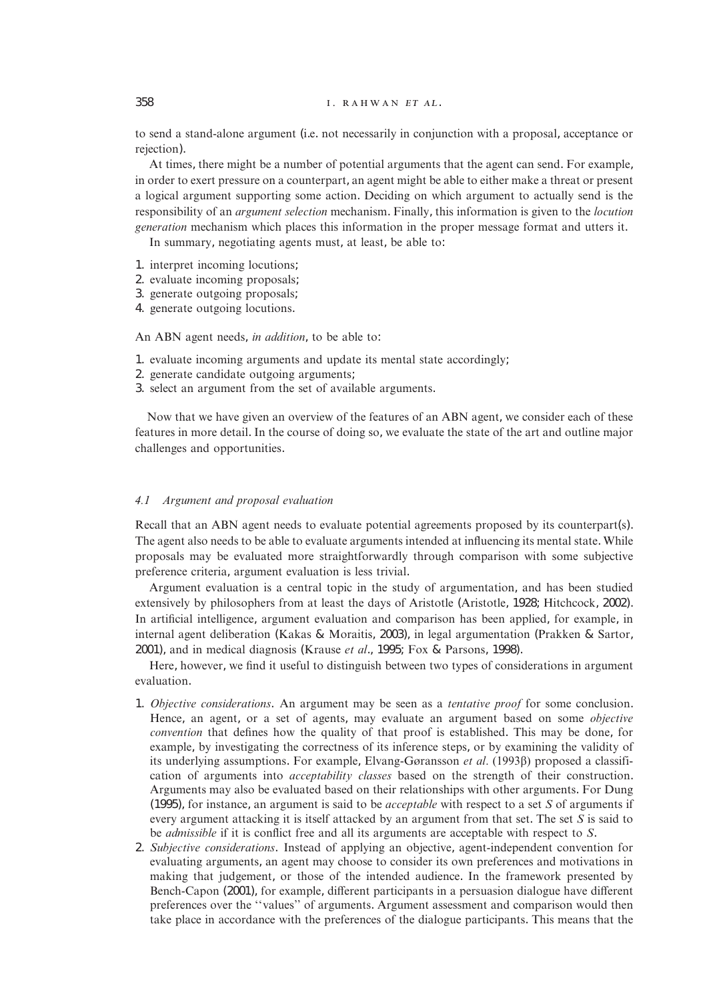## 358 . .

to send a stand-alone argument (i.e. not necessarily in conjunction with a proposal, acceptance or rejection).

At times, there might be a number of potential arguments that the agent can send. For example, in order to exert pressure on a counterpart, an agent might be able to either make a threat or present a logical argument supporting some action. Deciding on which argument to actually send is the responsibility of an *argument selection* mechanism. Finally, this information is given to the *locution generation* mechanism which places this information in the proper message format and utters it.

In summary, negotiating agents must, at least, be able to:

- 1. interpret incoming locutions;
- 2. evaluate incoming proposals;
- 3. generate outgoing proposals;
- 4. generate outgoing locutions.

An ABN agent needs, *in addition*, to be able to:

- 1. evaluate incoming arguments and update its mental state accordingly;
- 2. generate candidate outgoing arguments;
- 3. select an argument from the set of available arguments.

Now that we have given an overview of the features of an ABN agent, we consider each of these features in more detail. In the course of doing so, we evaluate the state of the art and outline major challenges and opportunities.

# *4.1 Argument and proposal evaluation*

Recall that an ABN agent needs to evaluate potential agreements proposed by its counterpart(s). The agent also needs to be able to evaluate arguments intended at influencing its mental state. While proposals may be evaluated more straightforwardly through comparison with some subjective preference criteria, argument evaluation is less trivial.

Argument evaluation is a central topic in the study of argumentation, and has been studied extensively by philosophers from at least the days of Aristotle (Aristotle, 1928; Hitchcock, 2002). In artificial intelligence, argument evaluation and comparison has been applied, for example, in internal agent deliberation (Kakas & Moraitis, 2003), in legal argumentation (Prakken & Sartor, 2001), and in medical diagnosis (Krause *et al*., 1995; Fox & Parsons, 1998).

Here, however, we find it useful to distinguish between two types of considerations in argument evaluation.

- 1. *Objective considerations*. An argument may be seen as a *tentative proof* for some conclusion. Hence, an agent, or a set of agents, may evaluate an argument based on some *objective convention* that defines how the quality of that proof is established. This may be done, for example, by investigating the correctness of its inference steps, or by examining the validity of its underlying assumptions. For example, Elvang-Gøransson *et al*. (1993) proposed a classification of arguments into *acceptability classes* based on the strength of their construction. Arguments may also be evaluated based on their relationships with other arguments. For Dung (1995), for instance, an argument is said to be *acceptable* with respect to a set *S* of arguments if every argument attacking it is itself attacked by an argument from that set. The set *S* is said to be *admissible* if it is conflict free and all its arguments are acceptable with respect to *S*.
- 2. *Subjective considerations*. Instead of applying an objective, agent-independent convention for evaluating arguments, an agent may choose to consider its own preferences and motivations in making that judgement, or those of the intended audience. In the framework presented by Bench-Capon (2001), for example, different participants in a persuasion dialogue have different preferences over the ''values'' of arguments. Argument assessment and comparison would then take place in accordance with the preferences of the dialogue participants. This means that the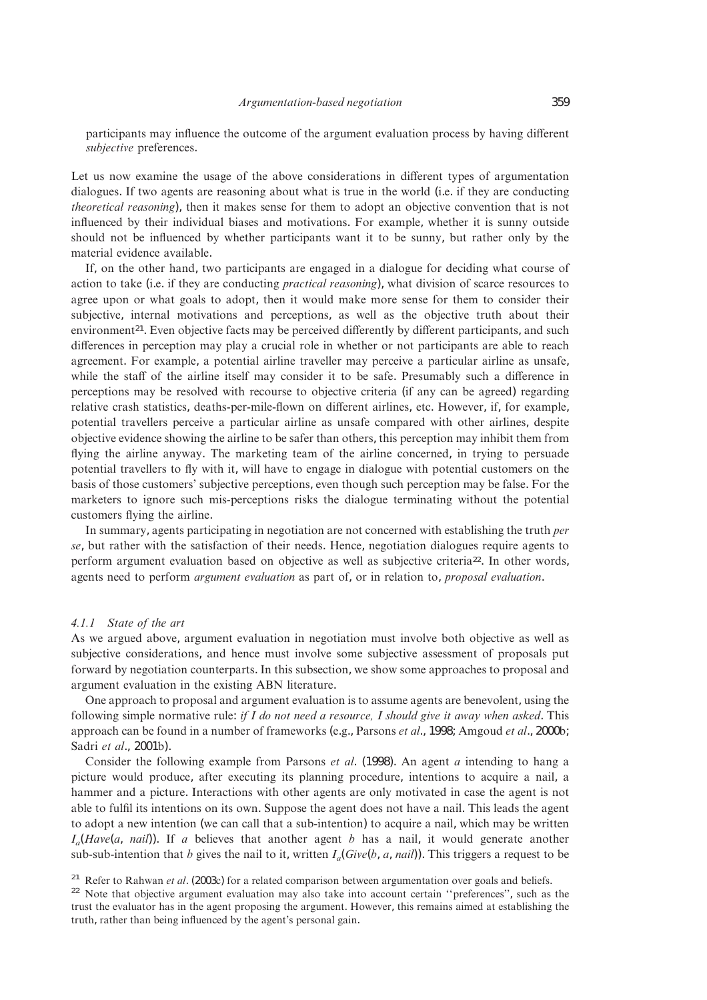participants may influence the outcome of the argument evaluation process by having different *subjective* preferences.

Let us now examine the usage of the above considerations in different types of argumentation dialogues. If two agents are reasoning about what is true in the world (i.e. if they are conducting *theoretical reasoning*), then it makes sense for them to adopt an objective convention that is not influenced by their individual biases and motivations. For example, whether it is sunny outside should not be influenced by whether participants want it to be sunny, but rather only by the material evidence available.

If, on the other hand, two participants are engaged in a dialogue for deciding what course of action to take (i.e. if they are conducting *practical reasoning*), what division of scarce resources to agree upon or what goals to adopt, then it would make more sense for them to consider their subjective, internal motivations and perceptions, as well as the objective truth about their environment<sup>21</sup>. Even objective facts may be perceived differently by different participants, and such differences in perception may play a crucial role in whether or not participants are able to reach agreement. For example, a potential airline traveller may perceive a particular airline as unsafe, while the staff of the airline itself may consider it to be safe. Presumably such a difference in perceptions may be resolved with recourse to objective criteria (if any can be agreed) regarding relative crash statistics, deaths-per-mile-flown on different airlines, etc. However, if, for example, potential travellers perceive a particular airline as unsafe compared with other airlines, despite objective evidence showing the airline to be safer than others, this perception may inhibit them from flying the airline anyway. The marketing team of the airline concerned, in trying to persuade potential travellers to fly with it, will have to engage in dialogue with potential customers on the basis of those customers' subjective perceptions, even though such perception may be false. For the marketers to ignore such mis-perceptions risks the dialogue terminating without the potential customers flying the airline.

In summary, agents participating in negotiation are not concerned with establishing the truth *per se*, but rather with the satisfaction of their needs. Hence, negotiation dialogues require agents to perform argument evaluation based on objective as well as subjective criteria22. In other words, agents need to perform *argument evaluation* as part of, or in relation to, *proposal evaluation*.

#### *4.1.1 State of the art*

As we argued above, argument evaluation in negotiation must involve both objective as well as subjective considerations, and hence must involve some subjective assessment of proposals put forward by negotiation counterparts. In this subsection, we show some approaches to proposal and argument evaluation in the existing ABN literature.

One approach to proposal and argument evaluation is to assume agents are benevolent, using the following simple normative rule: *if I do not need a resource, I should give it away when asked*. This approach can be found in a number of frameworks (e.g., Parsons *et al*., 1998; Amgoud *et al*., 2000b; Sadri *et al*., 2001b).

Consider the following example from Parsons *et al*. (1998). An agent *a* intending to hang a picture would produce, after executing its planning procedure, intentions to acquire a nail, a hammer and a picture. Interactions with other agents are only motivated in case the agent is not able to fulfil its intentions on its own. Suppose the agent does not have a nail. This leads the agent to adopt a new intention (we can call that a sub-intention) to acquire a nail, which may be written  $I<sub>a</sub>(Have(a, nail)$ ). If *a* believes that another agent *b* has a nail, it would generate another sub-sub-intention that *b* gives the nail to it, written  $I_a(Give(b, a, nail))$ . This triggers a request to be

<sup>21</sup> Refer to Rahwan *et al.* (2003c) for a related comparison between argumentation over goals and beliefs.<br><sup>22</sup> Note that objective argument evaluation may also take into account certain "preferences", such as the trust the evaluator has in the agent proposing the argument. However, this remains aimed at establishing the truth, rather than being influenced by the agent's personal gain.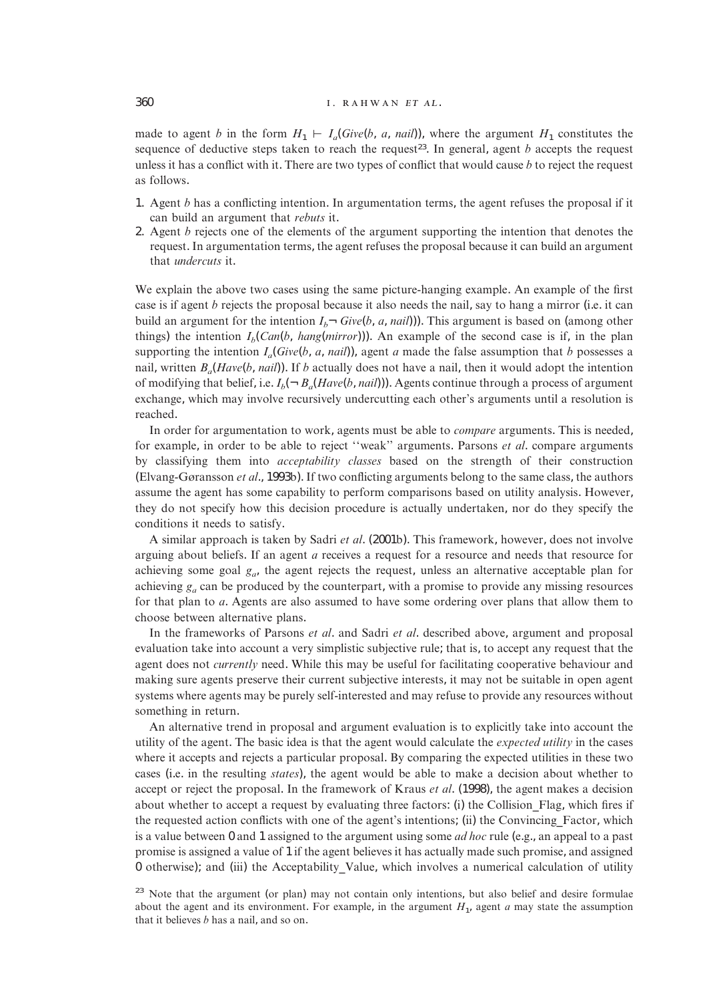## 360 **... ... ... ... ... ... ... ...** ... ... ... ... ... ... ... ... ... ... ... ... ... ... ... ... ... ... ... ... ... ... ... ... ... ... ... ... ... ... ... ... ... ... ... ... ... ... ... ... ... ... ... ... ... ...

made to agent *b* in the form  $H_1 \vdash I_a(Give(b, a, nail))$ , where the argument  $H_1$  constitutes the sequence of deductive steps taken to reach the request<sup>23</sup>. In general, agent  $b$  accepts the request unless it has a conflict with it. There are two types of conflict that would cause *b* to reject the request as follows.

- 1. Agent *b* has a conflicting intention. In argumentation terms, the agent refuses the proposal if it can build an argument that *rebuts* it.
- 2. Agent *b* rejects one of the elements of the argument supporting the intention that denotes the request. In argumentation terms, the agent refuses the proposal because it can build an argument that *undercuts* it.

We explain the above two cases using the same picture-hanging example. An example of the first case is if agent *b* rejects the proposal because it also needs the nail, say to hang a mirror (i.e. it can build an argument for the intention  $I_b \neg$  *Give*(*b*, *a*, *nail*))). This argument is based on (among other things) the intention  $I_b(Can(b, hang(mirror)))$ . An example of the second case is if, in the plan supporting the intention  $I_a(Give(b, a, nail))$ , agent *a* made the false assumption that *b* possesses a nail, written  $B_a(Have(b, nail))$ . If *b* actually does not have a nail, then it would adopt the intention of modifying that belief, i.e.  $I_b(-B_a(Have(b, nail)))$ . Agents continue through a process of argument exchange, which may involve recursively undercutting each other's arguments until a resolution is reached.

In order for argumentation to work, agents must be able to *compare* arguments. This is needed, for example, in order to be able to reject ''weak'' arguments. Parsons *et al*. compare arguments by classifying them into *acceptability classes* based on the strength of their construction (Elvang-Gøransson *et al*., 1993b). If two conflicting arguments belong to the same class, the authors assume the agent has some capability to perform comparisons based on utility analysis. However, they do not specify how this decision procedure is actually undertaken, nor do they specify the conditions it needs to satisfy.

A similar approach is taken by Sadri *et al*. (2001b). This framework, however, does not involve arguing about beliefs. If an agent *a* receives a request for a resource and needs that resource for achieving some goal  $g_a$ , the agent rejects the request, unless an alternative acceptable plan for achieving *ga* can be produced by the counterpart, with a promise to provide any missing resources for that plan to *a*. Agents are also assumed to have some ordering over plans that allow them to choose between alternative plans.

In the frameworks of Parsons *et al*. and Sadri *et al*. described above, argument and proposal evaluation take into account a very simplistic subjective rule; that is, to accept any request that the agent does not *currently* need. While this may be useful for facilitating cooperative behaviour and making sure agents preserve their current subjective interests, it may not be suitable in open agent systems where agents may be purely self-interested and may refuse to provide any resources without something in return.

An alternative trend in proposal and argument evaluation is to explicitly take into account the utility of the agent. The basic idea is that the agent would calculate the *expected utility* in the cases where it accepts and rejects a particular proposal. By comparing the expected utilities in these two cases (i.e. in the resulting *states*), the agent would be able to make a decision about whether to accept or reject the proposal. In the framework of Kraus *et al*. (1998), the agent makes a decision about whether to accept a request by evaluating three factors: (i) the Collision\_Flag, which fires if the requested action conflicts with one of the agent's intentions; (ii) the Convincing\_Factor, which is a value between 0 and 1 assigned to the argument using some *ad hoc* rule (e.g., an appeal to a past promise is assigned a value of 1 if the agent believes it has actually made such promise, and assigned 0 otherwise); and (iii) the Acceptability\_Value, which involves a numerical calculation of utility

<sup>&</sup>lt;sup>23</sup> Note that the argument (or plan) may not contain only intentions, but also belief and desire formulae about the agent and its environment. For example, in the argument  $H_1$ , agent  $a$  may state the assumption that it believes *b* has a nail, and so on.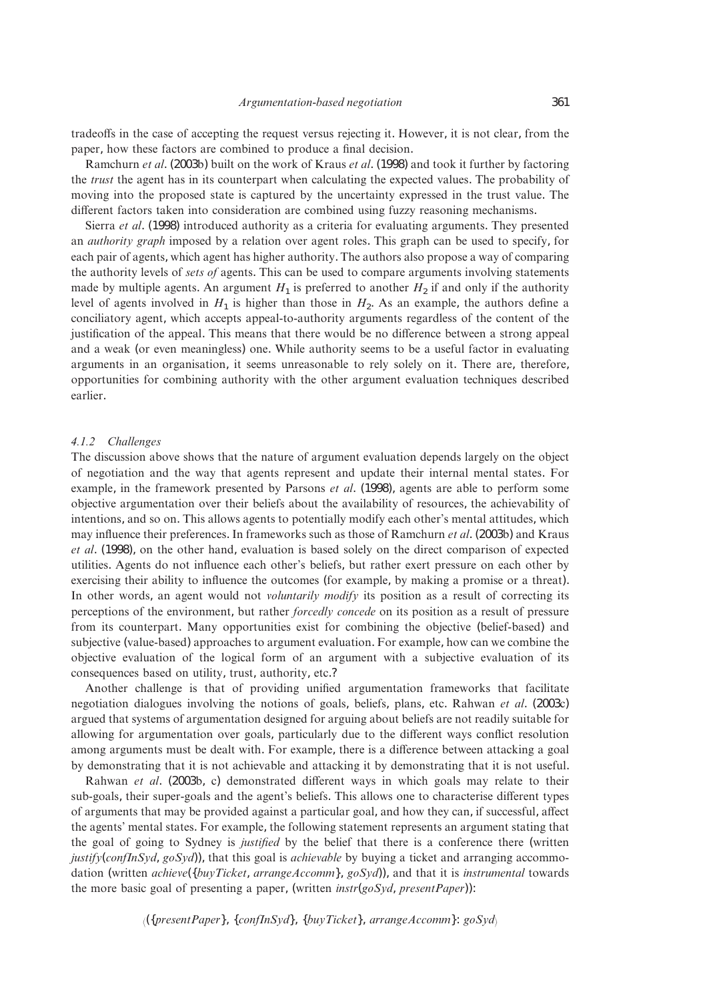tradeoffs in the case of accepting the request versus rejecting it. However, it is not clear, from the paper, how these factors are combined to produce a final decision.

Ramchurn *et al*. (2003b) built on the work of Kraus *et al*. (1998) and took it further by factoring the *trust* the agent has in its counterpart when calculating the expected values. The probability of moving into the proposed state is captured by the uncertainty expressed in the trust value. The different factors taken into consideration are combined using fuzzy reasoning mechanisms.

Sierra *et al*. (1998) introduced authority as a criteria for evaluating arguments. They presented an *authority graph* imposed by a relation over agent roles. This graph can be used to specify, for each pair of agents, which agent has higher authority. The authors also propose a way of comparing the authority levels of *sets of* agents. This can be used to compare arguments involving statements made by multiple agents. An argument  $H_1$  is preferred to another  $H_2$  if and only if the authority level of agents involved in  $H_1$  is higher than those in  $H_2$ . As an example, the authors define a conciliatory agent, which accepts appeal-to-authority arguments regardless of the content of the justification of the appeal. This means that there would be no difference between a strong appeal and a weak (or even meaningless) one. While authority seems to be a useful factor in evaluating arguments in an organisation, it seems unreasonable to rely solely on it. There are, therefore, opportunities for combining authority with the other argument evaluation techniques described earlier.

## *4.1.2 Challenges*

The discussion above shows that the nature of argument evaluation depends largely on the object of negotiation and the way that agents represent and update their internal mental states. For example, in the framework presented by Parsons *et al*. (1998), agents are able to perform some objective argumentation over their beliefs about the availability of resources, the achievability of intentions, and so on. This allows agents to potentially modify each other's mental attitudes, which may influence their preferences. In frameworks such as those of Ramchurn *et al*. (2003b) and Kraus *et al*. (1998), on the other hand, evaluation is based solely on the direct comparison of expected utilities. Agents do not influence each other's beliefs, but rather exert pressure on each other by exercising their ability to influence the outcomes (for example, by making a promise or a threat). In other words, an agent would not *voluntarily modify* its position as a result of correcting its perceptions of the environment, but rather *forcedly concede* on its position as a result of pressure from its counterpart. Many opportunities exist for combining the objective (belief-based) and subjective (value-based) approaches to argument evaluation. For example, how can we combine the objective evaluation of the logical form of an argument with a subjective evaluation of its consequences based on utility, trust, authority, etc.?

Another challenge is that of providing unified argumentation frameworks that facilitate negotiation dialogues involving the notions of goals, beliefs, plans, etc. Rahwan *et al*. (2003c) argued that systems of argumentation designed for arguing about beliefs are not readily suitable for allowing for argumentation over goals, particularly due to the different ways conflict resolution among arguments must be dealt with. For example, there is a difference between attacking a goal by demonstrating that it is not achievable and attacking it by demonstrating that it is not useful.

Rahwan *et al*. (2003b, c) demonstrated different ways in which goals may relate to their sub-goals, their super-goals and the agent's beliefs. This allows one to characterise different types of arguments that may be provided against a particular goal, and how they can, if successful, affect the agents' mental states. For example, the following statement represents an argument stating that the goal of going to Sydney is *justified* by the belief that there is a conference there (written *justify*(*confInSyd*, *goSyd*)), that this goal is *achievable* by buying a ticket and arranging accommodation (written *achieve*({*buyTicket*, *arrangeAccomm*}, *goSyd*)), and that it is *instrumental* towards the more basic goal of presenting a paper, (written *instr*(*goSyd*, *presentPaper*)):

 $\{S(x|\{presentPaper\}, \{confInSyd\}, \{buyTicket\}, arrayeAccount\}; goSyd\}$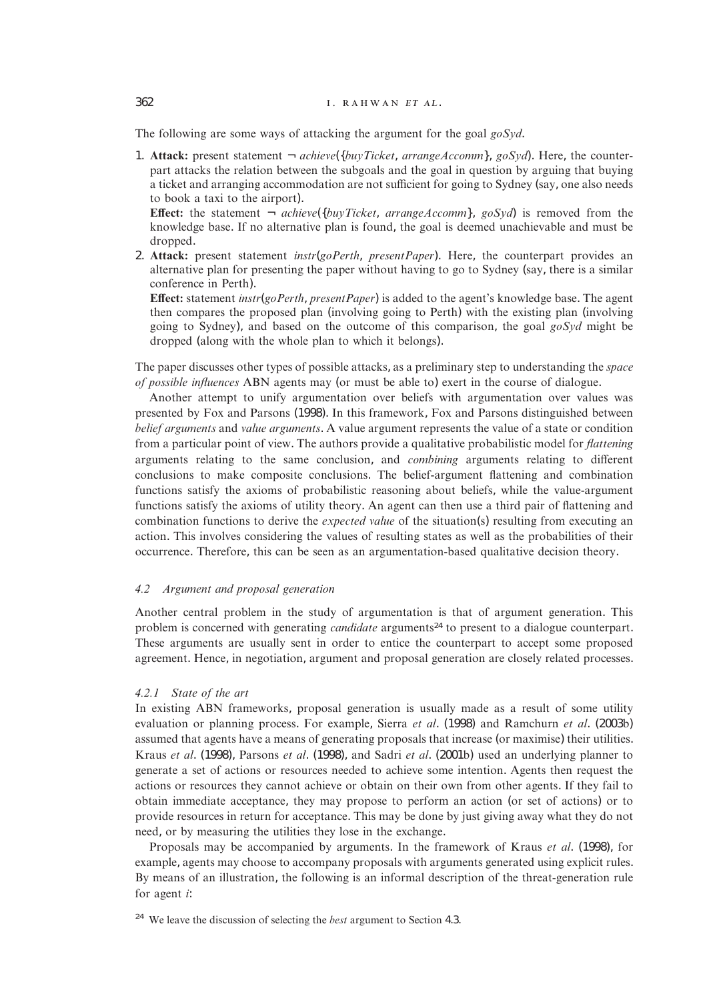## 362 **... ... ... ... ... ... ... ...** ... ... ... ... ... ... ... ... ... ... ... ... ... ... ... ... ... ... ... ... ... ... ... ... ... ... ... ... ... ... ... ... ... ... ... ... ... ... ... ... ... ... ... ... ... ...

The following are some ways of attacking the argument for the goal *goSyd*.

1. **Attack:** present statement ¬ *achieve*({*buyTicket*, *arrangeAccomm*}, *goSyd*). Here, the counterpart attacks the relation between the subgoals and the goal in question by arguing that buying a ticket and arranging accommodation are not sufficient for going to Sydney (say, one also needs to book a taxi to the airport).

**Effect:** the statement ¬ *achieve*({*buyTicket*, *arrangeAccomm*}, *goSyd*) is removed from the knowledge base. If no alternative plan is found, the goal is deemed unachievable and must be dropped.

2. **Attack:** present statement *instr*(*goPerth*, *presentPaper*). Here, the counterpart provides an alternative plan for presenting the paper without having to go to Sydney (say, there is a similar conference in Perth).

**Effect:** statement *instr*(*goPerth*, *presentPaper*) is added to the agent's knowledge base. The agent then compares the proposed plan (involving going to Perth) with the existing plan (involving going to Sydney), and based on the outcome of this comparison, the goal *goSyd* might be dropped (along with the whole plan to which it belongs).

The paper discusses other types of possible attacks, as a preliminary step to understanding the *space of possible influences* ABN agents may (or must be able to) exert in the course of dialogue.

Another attempt to unify argumentation over beliefs with argumentation over values was presented by Fox and Parsons (1998). In this framework, Fox and Parsons distinguished between *belief arguments* and *value arguments*. A value argument represents the value of a state or condition from a particular point of view. The authors provide a qualitative probabilistic model for *flattening* arguments relating to the same conclusion, and *combining* arguments relating to different conclusions to make composite conclusions. The belief-argument flattening and combination functions satisfy the axioms of probabilistic reasoning about beliefs, while the value-argument functions satisfy the axioms of utility theory. An agent can then use a third pair of flattening and combination functions to derive the *expected value* of the situation(s) resulting from executing an action. This involves considering the values of resulting states as well as the probabilities of their occurrence. Therefore, this can be seen as an argumentation-based qualitative decision theory.

## *4.2 Argument and proposal generation*

Another central problem in the study of argumentation is that of argument generation. This problem is concerned with generating *candidate* arguments<sup>24</sup> to present to a dialogue counterpart. These arguments are usually sent in order to entice the counterpart to accept some proposed agreement. Hence, in negotiation, argument and proposal generation are closely related processes.

## *4.2.1 State of the art*

In existing ABN frameworks, proposal generation is usually made as a result of some utility evaluation or planning process. For example, Sierra *et al*. (1998) and Ramchurn *et al*. (2003b) assumed that agents have a means of generating proposals that increase (or maximise) their utilities. Kraus *et al*. (1998), Parsons *et al*. (1998), and Sadri *et al*. (2001b) used an underlying planner to generate a set of actions or resources needed to achieve some intention. Agents then request the actions or resources they cannot achieve or obtain on their own from other agents. If they fail to obtain immediate acceptance, they may propose to perform an action (or set of actions) or to provide resources in return for acceptance. This may be done by just giving away what they do not need, or by measuring the utilities they lose in the exchange.

Proposals may be accompanied by arguments. In the framework of Kraus *et al*. (1998), for example, agents may choose to accompany proposals with arguments generated using explicit rules. By means of an illustration, the following is an informal description of the threat-generation rule for agent *i*:

<sup>24</sup> We leave the discussion of selecting the *best* argument to Section 4.3.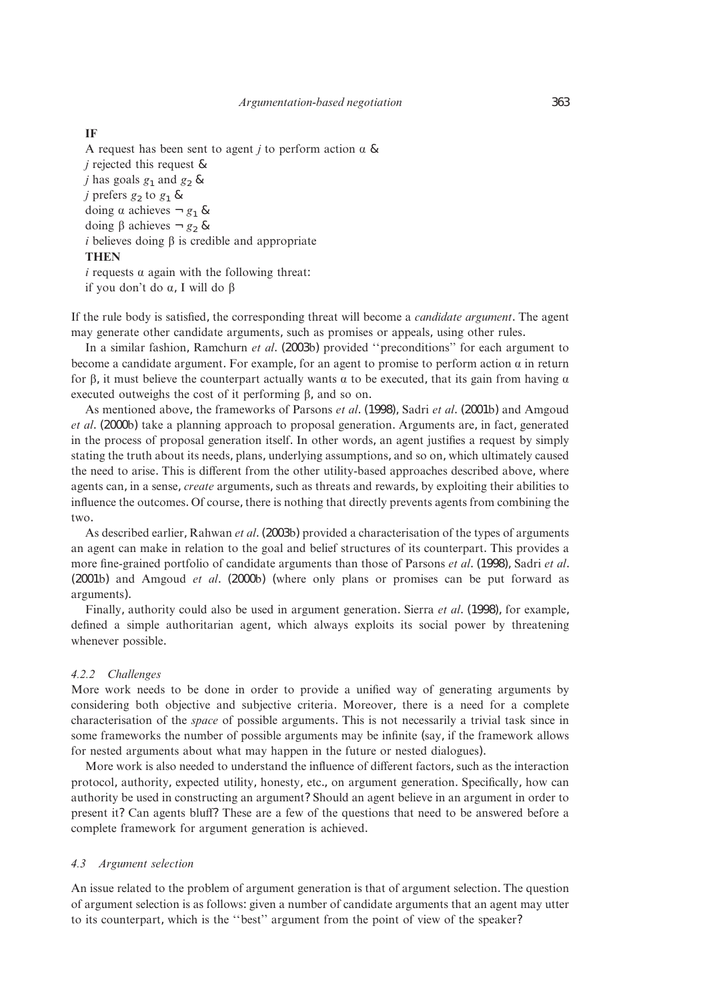## **IF**

A request has been sent to agent *j* to perform action  $\alpha \&$ *j* rejected this request & *j* has goals  $g_1$  and  $g_2$  & *j* prefers  $g_2$  to  $g_1$  & doing  $\alpha$  achieves  $-g_1 \&$ doing  $\beta$  achieves  $-g_2 \&$  $i$  believes doing  $\beta$  is credible and appropriate **THEN**  $i$  requests  $\alpha$  again with the following threat:

if you don't do  $\alpha$ , I will do  $\beta$ 

If the rule body is satisfied, the corresponding threat will become a *candidate argument*. The agent may generate other candidate arguments, such as promises or appeals, using other rules.

In a similar fashion, Ramchurn *et al*. (2003b) provided ''preconditions'' for each argument to become a candidate argument. For example, for an agent to promise to perform action  $\alpha$  in return for  $\beta$ , it must believe the counterpart actually wants  $\alpha$  to be executed, that its gain from having  $\alpha$ executed outweighs the cost of it performing  $\beta$ , and so on.

As mentioned above, the frameworks of Parsons *et al*. (1998), Sadri *et al*. (2001b) and Amgoud *et al*. (2000b) take a planning approach to proposal generation. Arguments are, in fact, generated in the process of proposal generation itself. In other words, an agent justifies a request by simply stating the truth about its needs, plans, underlying assumptions, and so on, which ultimately caused the need to arise. This is different from the other utility-based approaches described above, where agents can, in a sense, *create* arguments, such as threats and rewards, by exploiting their abilities to influence the outcomes. Of course, there is nothing that directly prevents agents from combining the two.

As described earlier, Rahwan *et al*. (2003b) provided a characterisation of the types of arguments an agent can make in relation to the goal and belief structures of its counterpart. This provides a more fine-grained portfolio of candidate arguments than those of Parsons *et al*. (1998), Sadri *et al*. (2001b) and Amgoud *et al*. (2000b) (where only plans or promises can be put forward as arguments).

Finally, authority could also be used in argument generation. Sierra *et al*. (1998), for example, defined a simple authoritarian agent, which always exploits its social power by threatening whenever possible.

## *4.2.2 Challenges*

More work needs to be done in order to provide a unified way of generating arguments by considering both objective and subjective criteria. Moreover, there is a need for a complete characterisation of the *space* of possible arguments. This is not necessarily a trivial task since in some frameworks the number of possible arguments may be infinite (say, if the framework allows for nested arguments about what may happen in the future or nested dialogues).

More work is also needed to understand the influence of different factors, such as the interaction protocol, authority, expected utility, honesty, etc., on argument generation. Specifically, how can authority be used in constructing an argument? Should an agent believe in an argument in order to present it? Can agents bluff? These are a few of the questions that need to be answered before a complete framework for argument generation is achieved.

## *4.3 Argument selection*

An issue related to the problem of argument generation is that of argument selection. The question of argument selection is as follows: given a number of candidate arguments that an agent may utter to its counterpart, which is the ''best'' argument from the point of view of the speaker?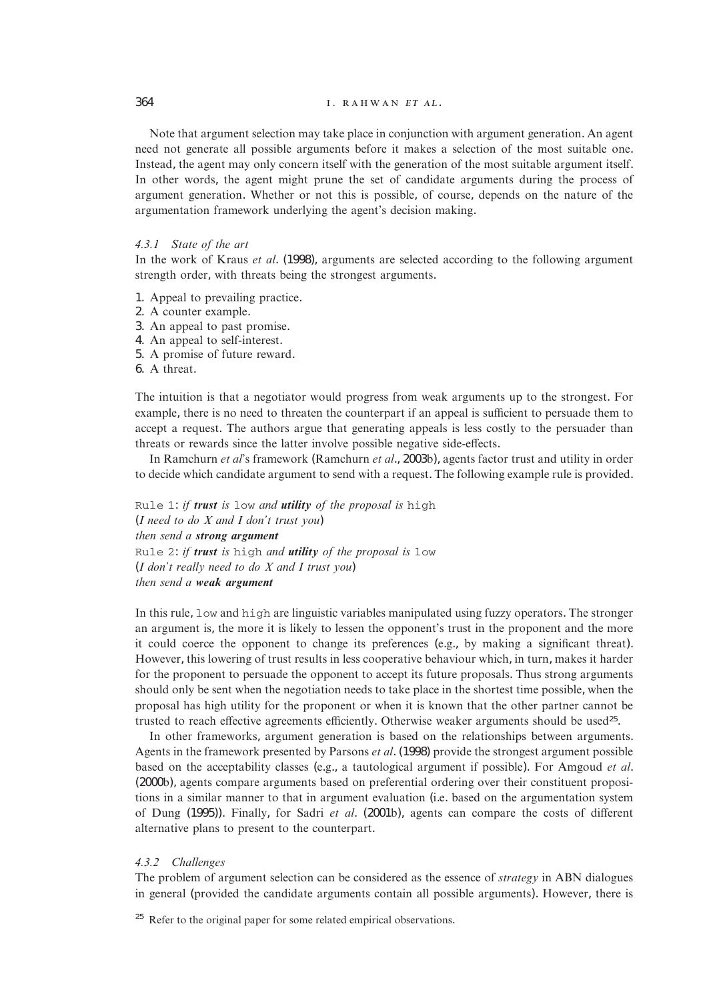# 364 **1. RAHWAN ET AL.**

Note that argument selection may take place in conjunction with argument generation. An agent need not generate all possible arguments before it makes a selection of the most suitable one. Instead, the agent may only concern itself with the generation of the most suitable argument itself. In other words, the agent might prune the set of candidate arguments during the process of argument generation. Whether or not this is possible, of course, depends on the nature of the argumentation framework underlying the agent's decision making.

# *4.3.1 State of the art*

In the work of Kraus *et al*. (1998), arguments are selected according to the following argument strength order, with threats being the strongest arguments.

- 1. Appeal to prevailing practice.
- 2. A counter example.
- 3. An appeal to past promise.
- 4. An appeal to self-interest.
- 5. A promise of future reward.
- 6. A threat.

The intuition is that a negotiator would progress from weak arguments up to the strongest. For example, there is no need to threaten the counterpart if an appeal is sufficient to persuade them to accept a request. The authors argue that generating appeals is less costly to the persuader than threats or rewards since the latter involve possible negative side-effects.

In Ramchurn *et al*'s framework (Ramchurn *et al*., 2003b), agents factor trust and utility in order to decide which candidate argument to send with a request. The following example rule is provided.

Rule 1: *if trust is* low *and utility of the proposal is* high (*I need to do X and I don't trust you*) *then send a strong argument* Rule 2: *if trust is* high *and utility of the proposal is* low (*I don't really need to do X and I trust you*) *then send a weak argument*

In this rule, low and high are linguistic variables manipulated using fuzzy operators. The stronger an argument is, the more it is likely to lessen the opponent's trust in the proponent and the more it could coerce the opponent to change its preferences (e.g., by making a significant threat). However, this lowering of trust results in less cooperative behaviour which, in turn, makes it harder for the proponent to persuade the opponent to accept its future proposals. Thus strong arguments should only be sent when the negotiation needs to take place in the shortest time possible, when the proposal has high utility for the proponent or when it is known that the other partner cannot be trusted to reach effective agreements efficiently. Otherwise weaker arguments should be used25.

In other frameworks, argument generation is based on the relationships between arguments. Agents in the framework presented by Parsons *et al*. (1998) provide the strongest argument possible based on the acceptability classes (e.g., a tautological argument if possible). For Amgoud *et al*. (2000b), agents compare arguments based on preferential ordering over their constituent propositions in a similar manner to that in argument evaluation (i.e. based on the argumentation system of Dung (1995)). Finally, for Sadri *et al*. (2001b), agents can compare the costs of different alternative plans to present to the counterpart.

# *4.3.2 Challenges*

The problem of argument selection can be considered as the essence of *strategy* in ABN dialogues in general (provided the candidate arguments contain all possible arguments). However, there is

<sup>25</sup> Refer to the original paper for some related empirical observations.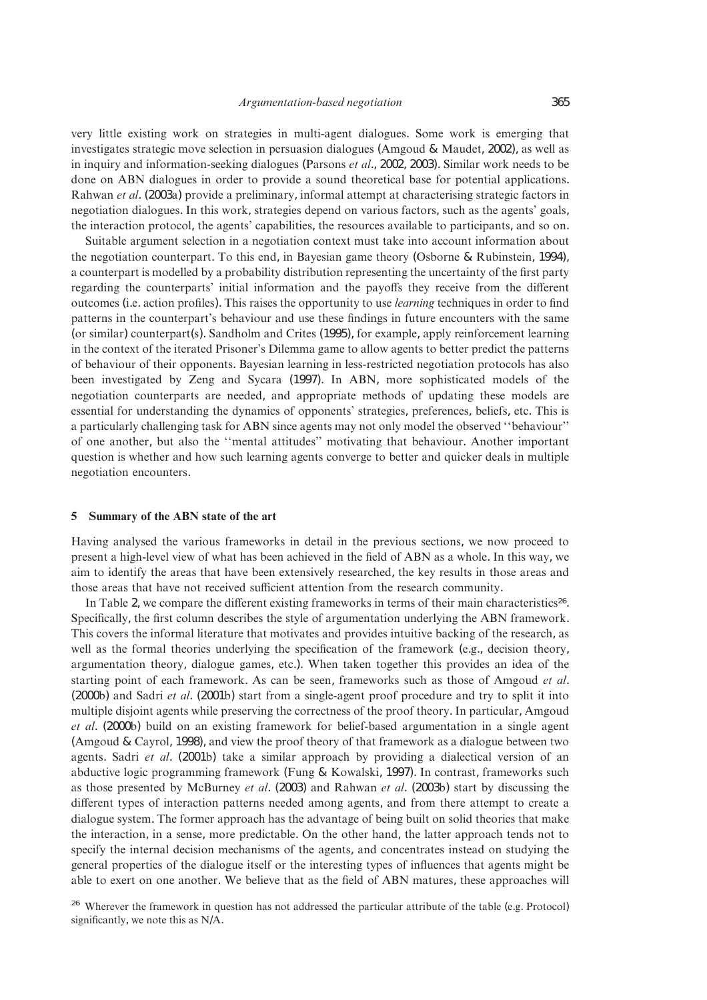very little existing work on strategies in multi-agent dialogues. Some work is emerging that investigates strategic move selection in persuasion dialogues (Amgoud & Maudet, 2002), as well as in inquiry and information-seeking dialogues (Parsons *et al*., 2002, 2003). Similar work needs to be done on ABN dialogues in order to provide a sound theoretical base for potential applications. Rahwan *et al*. (2003a) provide a preliminary, informal attempt at characterising strategic factors in negotiation dialogues. In this work, strategies depend on various factors, such as the agents' goals, the interaction protocol, the agents' capabilities, the resources available to participants, and so on.

Suitable argument selection in a negotiation context must take into account information about the negotiation counterpart. To this end, in Bayesian game theory (Osborne & Rubinstein, 1994), a counterpart is modelled by a probability distribution representing the uncertainty of the first party regarding the counterparts' initial information and the payoffs they receive from the different outcomes (i.e. action profiles). This raises the opportunity to use *learning* techniques in order to find patterns in the counterpart's behaviour and use these findings in future encounters with the same (or similar) counterpart(s). Sandholm and Crites (1995), for example, apply reinforcement learning in the context of the iterated Prisoner's Dilemma game to allow agents to better predict the patterns of behaviour of their opponents. Bayesian learning in less-restricted negotiation protocols has also been investigated by Zeng and Sycara (1997). In ABN, more sophisticated models of the negotiation counterparts are needed, and appropriate methods of updating these models are essential for understanding the dynamics of opponents' strategies, preferences, beliefs, etc. This is a particularly challenging task for ABN since agents may not only model the observed ''behaviour'' of one another, but also the ''mental attitudes'' motivating that behaviour. Another important question is whether and how such learning agents converge to better and quicker deals in multiple negotiation encounters.

#### **5 Summary of the ABN state of the art**

Having analysed the various frameworks in detail in the previous sections, we now proceed to present a high-level view of what has been achieved in the field of ABN as a whole. In this way, we aim to identify the areas that have been extensively researched, the key results in those areas and those areas that have not received sufficient attention from the research community.

In Table 2, we compare the different existing frameworks in terms of their main characteristics<sup>26</sup>. Specifically, the first column describes the style of argumentation underlying the ABN framework. This covers the informal literature that motivates and provides intuitive backing of the research, as well as the formal theories underlying the specification of the framework (e.g., decision theory, argumentation theory, dialogue games, etc.). When taken together this provides an idea of the starting point of each framework. As can be seen, frameworks such as those of Amgoud *et al*. (2000b) and Sadri *et al*. (2001b) start from a single-agent proof procedure and try to split it into multiple disjoint agents while preserving the correctness of the proof theory. In particular, Amgoud *et al*. (2000b) build on an existing framework for belief-based argumentation in a single agent (Amgoud & Cayrol, 1998), and view the proof theory of that framework as a dialogue between two agents. Sadri *et al*. (2001b) take a similar approach by providing a dialectical version of an abductive logic programming framework (Fung & Kowalski, 1997). In contrast, frameworks such as those presented by McBurney *et al*. (2003) and Rahwan *et al*. (2003b) start by discussing the different types of interaction patterns needed among agents, and from there attempt to create a dialogue system. The former approach has the advantage of being built on solid theories that make the interaction, in a sense, more predictable. On the other hand, the latter approach tends not to specify the internal decision mechanisms of the agents, and concentrates instead on studying the general properties of the dialogue itself or the interesting types of influences that agents might be able to exert on one another. We believe that as the field of ABN matures, these approaches will

<sup>&</sup>lt;sup>26</sup> Wherever the framework in question has not addressed the particular attribute of the table (e.g. Protocol) significantly, we note this as N/A.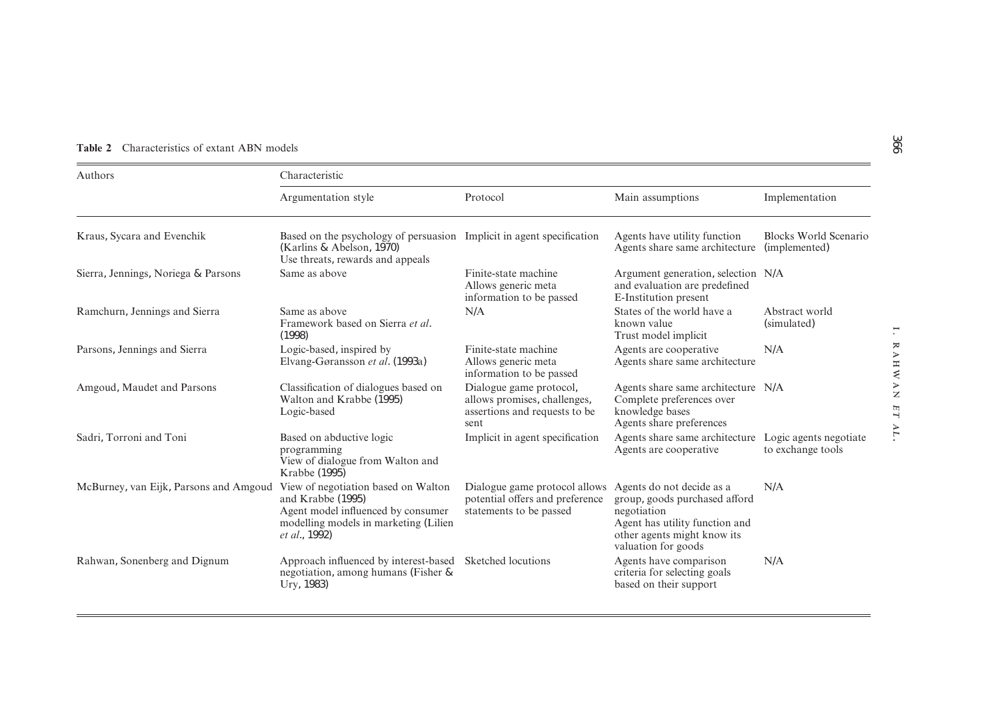| <b>Table 2</b> Characteristics of extant ABN models |  |  |
|-----------------------------------------------------|--|--|
|                                                     |  |  |

| Authors                                | Characteristic                                                                                                                                                   |                                                                                                  |                                                                                                                                                                   |                                               |  |
|----------------------------------------|------------------------------------------------------------------------------------------------------------------------------------------------------------------|--------------------------------------------------------------------------------------------------|-------------------------------------------------------------------------------------------------------------------------------------------------------------------|-----------------------------------------------|--|
|                                        | Argumentation style                                                                                                                                              | Protocol                                                                                         | Main assumptions                                                                                                                                                  | Implementation                                |  |
| Kraus, Sycara and Evenchik             | Based on the psychology of persuasion Implicit in agent specification<br>(Karlins & Abelson, 1970)<br>Use threats, rewards and appeals                           |                                                                                                  | Agents have utility function<br>Agents share same architecture                                                                                                    | <b>Blocks World Scenario</b><br>(implemented) |  |
| Sierra, Jennings, Noriega & Parsons    | Same as above                                                                                                                                                    | Finite-state machine<br>Allows generic meta<br>information to be passed                          | Argument generation, selection N/A<br>and evaluation are predefined<br>E-Institution present                                                                      |                                               |  |
| Ramchurn, Jennings and Sierra          | Same as above<br>Framework based on Sierra et al.<br>(1998)                                                                                                      | N/A                                                                                              | States of the world have a<br>known value<br>Trust model implicit                                                                                                 | Abstract world<br>(simulated)                 |  |
| Parsons, Jennings and Sierra           | Logic-based, inspired by<br>Elvang-Gøransson et al. (1993a)                                                                                                      | Finite-state machine<br>Allows generic meta<br>information to be passed                          | Agents are cooperative<br>Agents share same architecture                                                                                                          | N/A                                           |  |
| Amgoud, Maudet and Parsons             | Classification of dialogues based on<br>Walton and Krabbe (1995)<br>Logic-based                                                                                  | Dialogue game protocol,<br>allows promises, challenges,<br>assertions and requests to be<br>sent | Agents share same architecture N/A<br>Complete preferences over<br>knowledge bases<br>Agents share preferences                                                    |                                               |  |
| Sadri, Torroni and Toni                | Based on abductive logic<br>programming<br>View of dialogue from Walton and<br>Krabbe (1995)                                                                     | Implicit in agent specification                                                                  | Agents share same architecture<br>Agents are cooperative                                                                                                          | Logic agents negotiate<br>to exchange tools   |  |
| McBurney, van Eijk, Parsons and Amgoud | View of negotiation based on Walton<br>and Krabbe (1995)<br>Agent model influenced by consumer<br>modelling models in marketing (Lilien<br><i>et al.</i> , 1992) | Dialogue game protocol allows<br>potential offers and preference<br>statements to be passed      | Agents do not decide as a<br>group, goods purchased afford<br>negotiation<br>Agent has utility function and<br>other agents might know its<br>valuation for goods | N/A                                           |  |
| Rahwan, Sonenberg and Dignum           | Approach influenced by interest-based<br>negotiation, among humans (Fisher &<br>Ury, 1983)                                                                       | Sketched locutions                                                                               | Agents have comparison<br>criteria for selecting goals<br>based on their support                                                                                  | N/A                                           |  |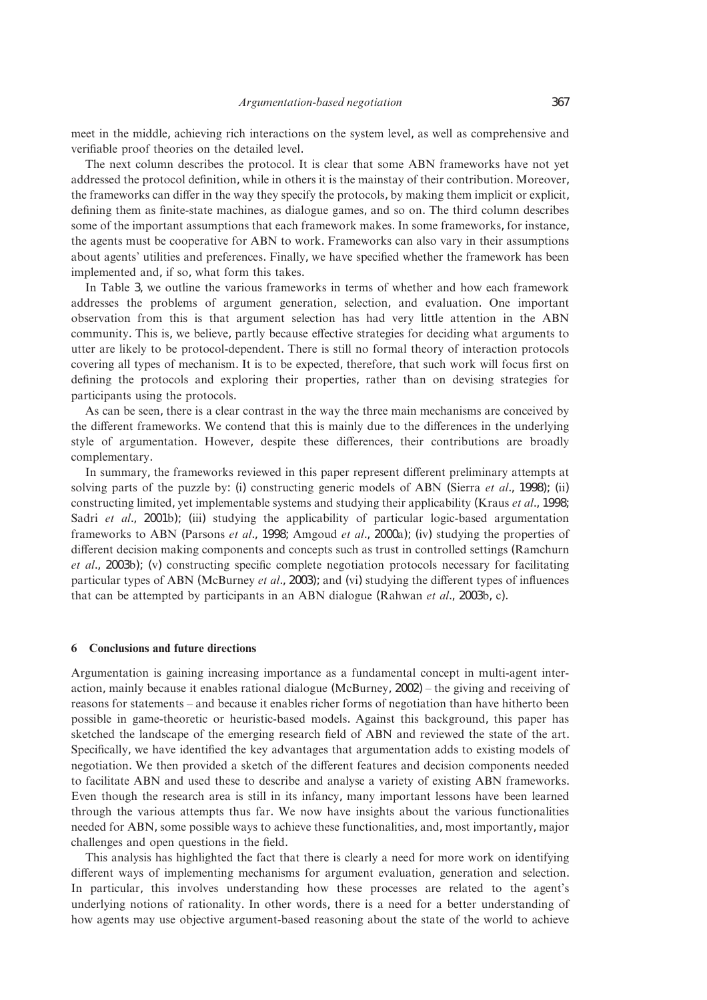meet in the middle, achieving rich interactions on the system level, as well as comprehensive and verifiable proof theories on the detailed level.

The next column describes the protocol. It is clear that some ABN frameworks have not yet addressed the protocol definition, while in others it is the mainstay of their contribution. Moreover, the frameworks can differ in the way they specify the protocols, by making them implicit or explicit, defining them as finite-state machines, as dialogue games, and so on. The third column describes some of the important assumptions that each framework makes. In some frameworks, for instance, the agents must be cooperative for ABN to work. Frameworks can also vary in their assumptions about agents' utilities and preferences. Finally, we have specified whether the framework has been implemented and, if so, what form this takes.

In Table 3, we outline the various frameworks in terms of whether and how each framework addresses the problems of argument generation, selection, and evaluation. One important observation from this is that argument selection has had very little attention in the ABN community. This is, we believe, partly because effective strategies for deciding what arguments to utter are likely to be protocol-dependent. There is still no formal theory of interaction protocols covering all types of mechanism. It is to be expected, therefore, that such work will focus first on defining the protocols and exploring their properties, rather than on devising strategies for participants using the protocols.

As can be seen, there is a clear contrast in the way the three main mechanisms are conceived by the different frameworks. We contend that this is mainly due to the differences in the underlying style of argumentation. However, despite these differences, their contributions are broadly complementary.

In summary, the frameworks reviewed in this paper represent different preliminary attempts at solving parts of the puzzle by: (i) constructing generic models of ABN (Sierra *et al*., 1998); (ii) constructing limited, yet implementable systems and studying their applicability (Kraus *et al*., 1998; Sadri *et al.*, 2001b); (iii) studying the applicability of particular logic-based argumentation frameworks to ABN (Parsons *et al*., 1998; Amgoud *et al*., 2000a); (iv) studying the properties of different decision making components and concepts such as trust in controlled settings (Ramchurn *et al*., 2003b); (v) constructing specific complete negotiation protocols necessary for facilitating particular types of ABN (McBurney *et al*., 2003); and (vi) studying the different types of influences that can be attempted by participants in an ABN dialogue (Rahwan *et al*., 2003b, c).

## **6 Conclusions and future directions**

Argumentation is gaining increasing importance as a fundamental concept in multi-agent interaction, mainly because it enables rational dialogue (McBurney, 2002) – the giving and receiving of reasons for statements – and because it enables richer forms of negotiation than have hitherto been possible in game-theoretic or heuristic-based models. Against this background, this paper has sketched the landscape of the emerging research field of ABN and reviewed the state of the art. Specifically, we have identified the key advantages that argumentation adds to existing models of negotiation. We then provided a sketch of the different features and decision components needed to facilitate ABN and used these to describe and analyse a variety of existing ABN frameworks. Even though the research area is still in its infancy, many important lessons have been learned through the various attempts thus far. We now have insights about the various functionalities needed for ABN, some possible ways to achieve these functionalities, and, most importantly, major challenges and open questions in the field.

This analysis has highlighted the fact that there is clearly a need for more work on identifying different ways of implementing mechanisms for argument evaluation, generation and selection. In particular, this involves understanding how these processes are related to the agent's underlying notions of rationality. In other words, there is a need for a better understanding of how agents may use objective argument-based reasoning about the state of the world to achieve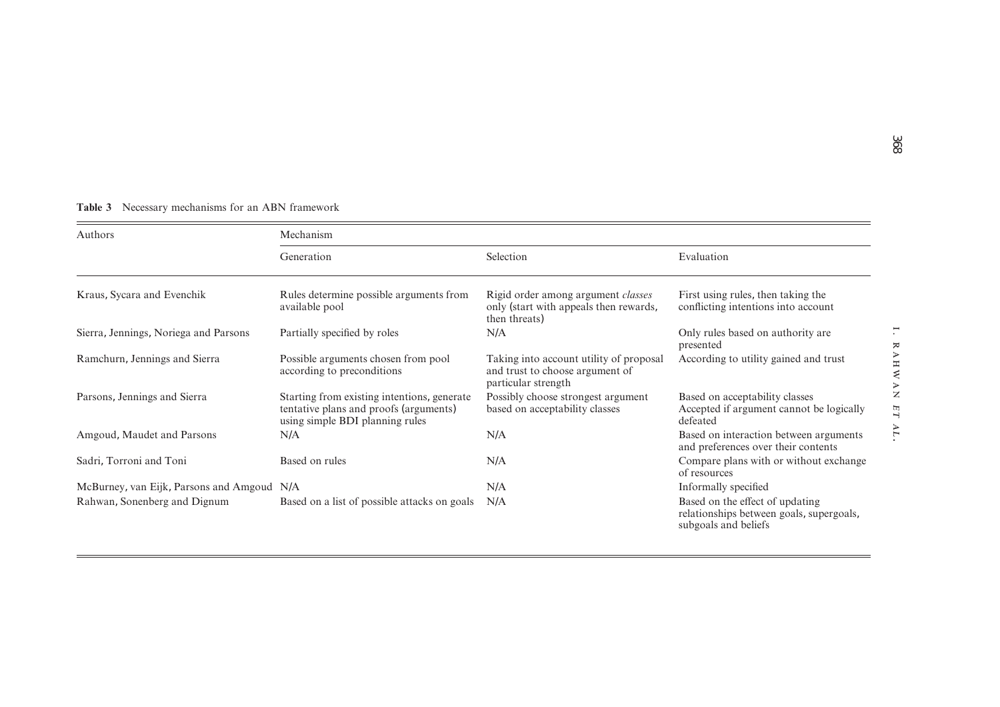| <b>Table 3</b> Necessary mechanisms for an ABN framework |  |  |  |
|----------------------------------------------------------|--|--|--|
|----------------------------------------------------------|--|--|--|

| Authors                                    | Mechanism                                                                                                                |                                                                                                      |                                                                                                     |  |
|--------------------------------------------|--------------------------------------------------------------------------------------------------------------------------|------------------------------------------------------------------------------------------------------|-----------------------------------------------------------------------------------------------------|--|
|                                            | Generation                                                                                                               | Selection                                                                                            | Evaluation                                                                                          |  |
| Kraus, Sycara and Evenchik                 | Rules determine possible arguments from<br>available pool                                                                | Rigid order among argument <i>classes</i><br>only (start with appeals then rewards,<br>then threats) | First using rules, then taking the<br>conflicting intentions into account                           |  |
| Sierra, Jennings, Noriega and Parsons      | Partially specified by roles                                                                                             | N/A                                                                                                  | Only rules based on authority are<br>presented                                                      |  |
| Ramchurn, Jennings and Sierra              | Possible arguments chosen from pool<br>according to preconditions                                                        | Taking into account utility of proposal<br>and trust to choose argument of<br>particular strength    | According to utility gained and trust                                                               |  |
| Parsons, Jennings and Sierra               | Starting from existing intentions, generate<br>tentative plans and proofs (arguments)<br>using simple BDI planning rules | Possibly choose strongest argument<br>based on acceptability classes                                 | Based on acceptability classes<br>Accepted if argument cannot be logically<br>defeated              |  |
| Amgoud, Maudet and Parsons                 | N/A                                                                                                                      | N/A                                                                                                  | Based on interaction between arguments<br>and preferences over their contents                       |  |
| Sadri, Torroni and Toni                    | Based on rules                                                                                                           | N/A                                                                                                  | Compare plans with or without exchange<br>of resources                                              |  |
| McBurney, van Eijk, Parsons and Amgoud N/A |                                                                                                                          | N/A                                                                                                  | Informally specified                                                                                |  |
| Rahwan, Sonenberg and Dignum               | Based on a list of possible attacks on goals                                                                             | N/A                                                                                                  | Based on the effect of updating<br>relationships between goals, supergoals,<br>subgoals and beliefs |  |

.

RAHWAN

ET AL.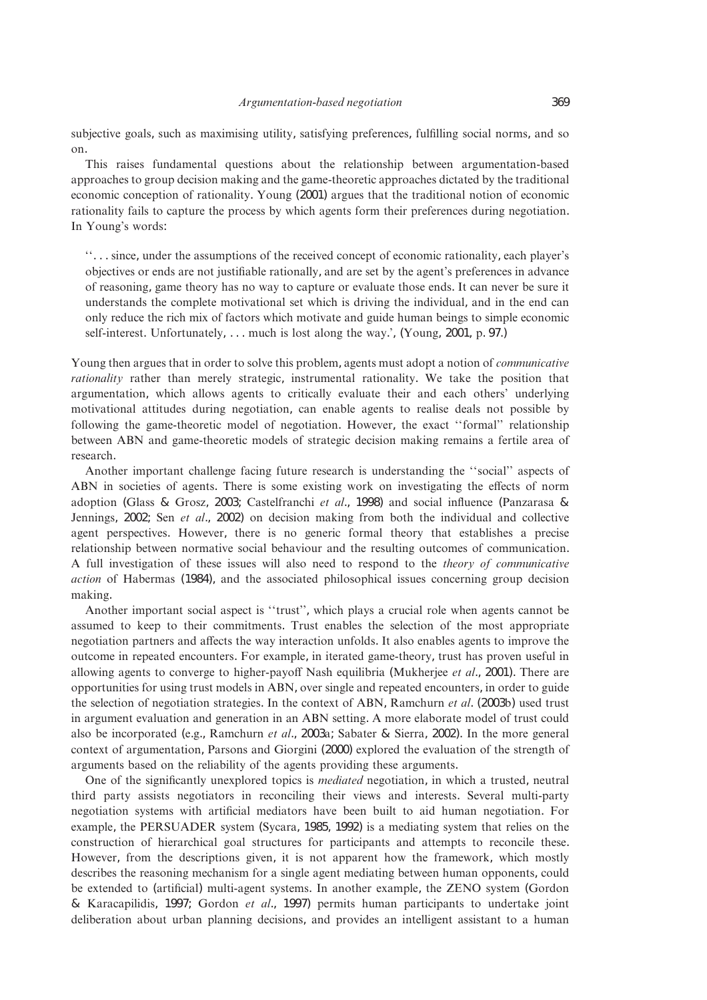subjective goals, such as maximising utility, satisfying preferences, fulfilling social norms, and so on.

This raises fundamental questions about the relationship between argumentation-based approaches to group decision making and the game-theoretic approaches dictated by the traditional economic conception of rationality. Young (2001) argues that the traditional notion of economic rationality fails to capture the process by which agents form their preferences during negotiation. In Young's words:

''... since, under the assumptions of the received concept of economic rationality, each player's objectives or ends are not justifiable rationally, and are set by the agent's preferences in advance of reasoning, game theory has no way to capture or evaluate those ends. It can never be sure it understands the complete motivational set which is driving the individual, and in the end can only reduce the rich mix of factors which motivate and guide human beings to simple economic self-interest. Unfortunately,... much is lost along the way.', (Young, 2001, p. 97.)

Young then argues that in order to solve this problem, agents must adopt a notion of *communicative rationality* rather than merely strategic, instrumental rationality. We take the position that argumentation, which allows agents to critically evaluate their and each others' underlying motivational attitudes during negotiation, can enable agents to realise deals not possible by following the game-theoretic model of negotiation. However, the exact ''formal'' relationship between ABN and game-theoretic models of strategic decision making remains a fertile area of research.

Another important challenge facing future research is understanding the ''social'' aspects of ABN in societies of agents. There is some existing work on investigating the effects of norm adoption (Glass & Grosz, 2003; Castelfranchi *et al*., 1998) and social influence (Panzarasa & Jennings, 2002; Sen *et al*., 2002) on decision making from both the individual and collective agent perspectives. However, there is no generic formal theory that establishes a precise relationship between normative social behaviour and the resulting outcomes of communication. A full investigation of these issues will also need to respond to the *theory of communicative action* of Habermas (1984), and the associated philosophical issues concerning group decision making.

Another important social aspect is ''trust'', which plays a crucial role when agents cannot be assumed to keep to their commitments. Trust enables the selection of the most appropriate negotiation partners and affects the way interaction unfolds. It also enables agents to improve the outcome in repeated encounters. For example, in iterated game-theory, trust has proven useful in allowing agents to converge to higher-payoff Nash equilibria (Mukherjee *et al*., 2001). There are opportunities for using trust models in ABN, over single and repeated encounters, in order to guide the selection of negotiation strategies. In the context of ABN, Ramchurn *et al*. (2003b) used trust in argument evaluation and generation in an ABN setting. A more elaborate model of trust could also be incorporated (e.g., Ramchurn *et al*., 2003a; Sabater & Sierra, 2002). In the more general context of argumentation, Parsons and Giorgini (2000) explored the evaluation of the strength of arguments based on the reliability of the agents providing these arguments.

One of the significantly unexplored topics is *mediated* negotiation, in which a trusted, neutral third party assists negotiators in reconciling their views and interests. Several multi-party negotiation systems with artificial mediators have been built to aid human negotiation. For example, the PERSUADER system (Sycara, 1985, 1992) is a mediating system that relies on the construction of hierarchical goal structures for participants and attempts to reconcile these. However, from the descriptions given, it is not apparent how the framework, which mostly describes the reasoning mechanism for a single agent mediating between human opponents, could be extended to (artificial) multi-agent systems. In another example, the ZENO system (Gordon & Karacapilidis, 1997; Gordon *et al*., 1997) permits human participants to undertake joint deliberation about urban planning decisions, and provides an intelligent assistant to a human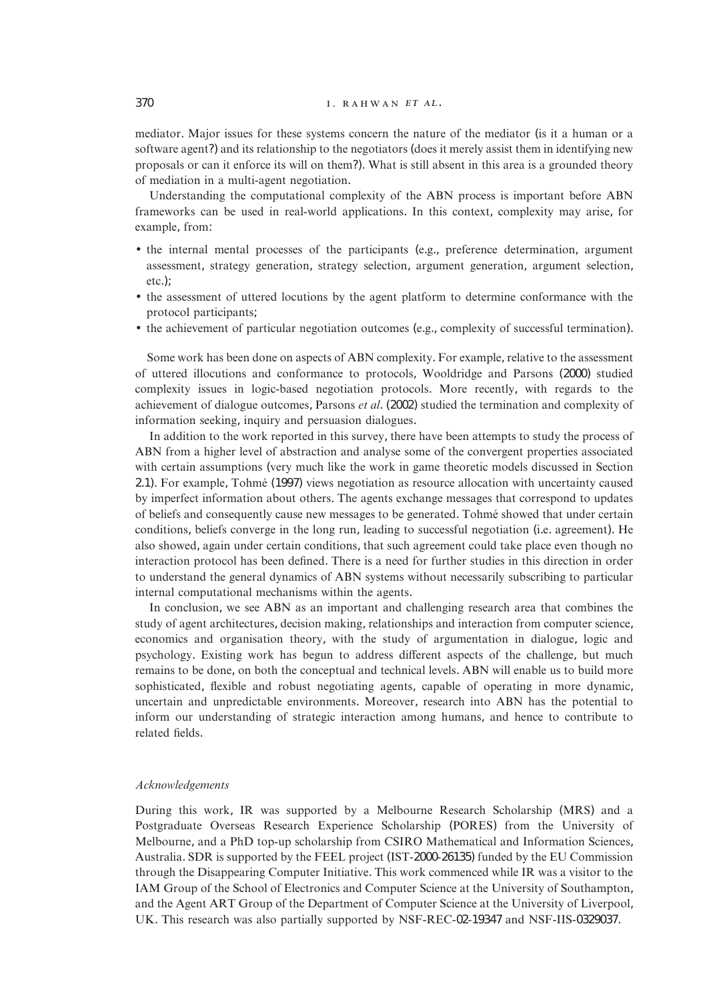mediator. Major issues for these systems concern the nature of the mediator (is it a human or a software agent?) and its relationship to the negotiators (does it merely assist them in identifying new proposals or can it enforce its will on them?). What is still absent in this area is a grounded theory of mediation in a multi-agent negotiation.

Understanding the computational complexity of the ABN process is important before ABN frameworks can be used in real-world applications. In this context, complexity may arise, for example, from:

- the internal mental processes of the participants (e.g., preference determination, argument assessment, strategy generation, strategy selection, argument generation, argument selection, etc.);
- the assessment of uttered locutions by the agent platform to determine conformance with the protocol participants;
- the achievement of particular negotiation outcomes (e.g., complexity of successful termination).

Some work has been done on aspects of ABN complexity. For example, relative to the assessment of uttered illocutions and conformance to protocols, Wooldridge and Parsons (2000) studied complexity issues in logic-based negotiation protocols. More recently, with regards to the achievement of dialogue outcomes, Parsons *et al*. (2002) studied the termination and complexity of information seeking, inquiry and persuasion dialogues.

In addition to the work reported in this survey, there have been attempts to study the process of ABN from a higher level of abstraction and analyse some of the convergent properties associated with certain assumptions (very much like the work in game theoretic models discussed in Section 2.1). For example, Tohme´ (1997) views negotiation as resource allocation with uncertainty caused by imperfect information about others. The agents exchange messages that correspond to updates of beliefs and consequently cause new messages to be generated. Tohmé showed that under certain conditions, beliefs converge in the long run, leading to successful negotiation (i.e. agreement). He also showed, again under certain conditions, that such agreement could take place even though no interaction protocol has been defined. There is a need for further studies in this direction in order to understand the general dynamics of ABN systems without necessarily subscribing to particular internal computational mechanisms within the agents.

In conclusion, we see ABN as an important and challenging research area that combines the study of agent architectures, decision making, relationships and interaction from computer science, economics and organisation theory, with the study of argumentation in dialogue, logic and psychology. Existing work has begun to address different aspects of the challenge, but much remains to be done, on both the conceptual and technical levels. ABN will enable us to build more sophisticated, flexible and robust negotiating agents, capable of operating in more dynamic, uncertain and unpredictable environments. Moreover, research into ABN has the potential to inform our understanding of strategic interaction among humans, and hence to contribute to related fields.

#### *Acknowledgements*

During this work, IR was supported by a Melbourne Research Scholarship (MRS) and a Postgraduate Overseas Research Experience Scholarship (PORES) from the University of Melbourne, and a PhD top-up scholarship from CSIRO Mathematical and Information Sciences, Australia. SDR is supported by the FEEL project (IST-2000-26135) funded by the EU Commission through the Disappearing Computer Initiative. This work commenced while IR was a visitor to the IAM Group of the School of Electronics and Computer Science at the University of Southampton, and the Agent ART Group of the Department of Computer Science at the University of Liverpool, UK. This research was also partially supported by NSF-REC-02-19347 and NSF-IIS-0329037.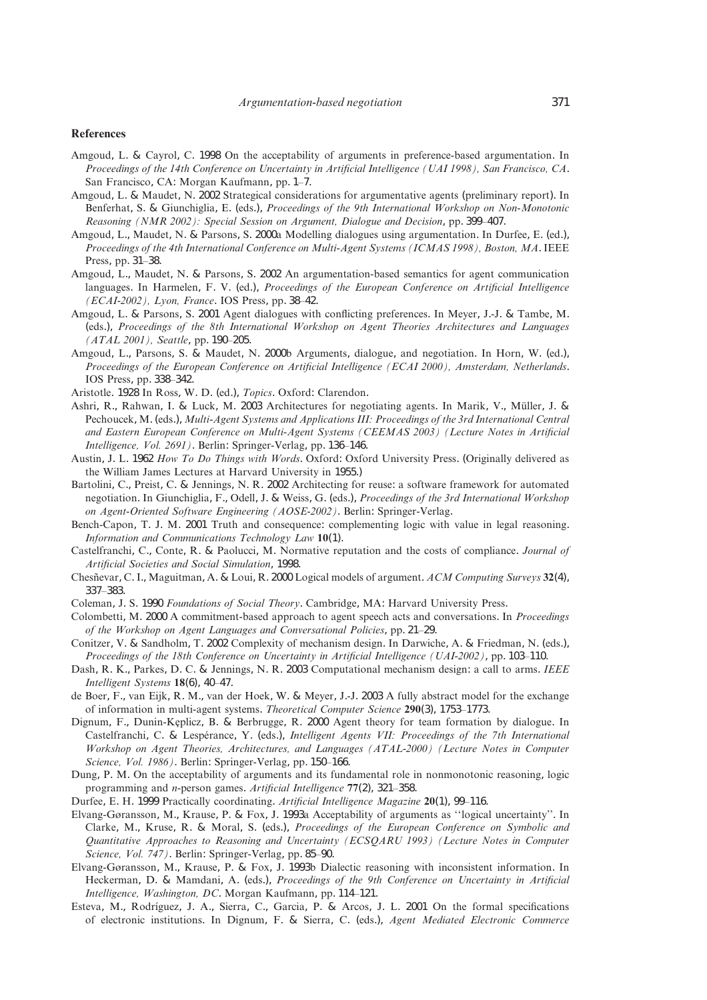#### **References**

- Amgoud, L. & Cayrol, C. 1998 On the acceptability of arguments in preference-based argumentation. In *Proceedings of the 14th Conference on Uncertainty in Artificial Intelligence (UAI 1998), San Francisco, CA*. San Francisco, CA: Morgan Kaufmann, pp. 1–7.
- Amgoud, L. & Maudet, N. 2002 Strategical considerations for argumentative agents (preliminary report). In Benferhat, S. & Giunchiglia, E. (eds.), *Proceedings of the 9th International Workshop on Non-Monotonic Reasoning (NMR 2002): Special Session on Argument, Dialogue and Decision*, pp. 399–407.
- Amgoud, L., Maudet, N. & Parsons, S. 2000a Modelling dialogues using argumentation. In Durfee, E. (ed.), *Proceedings of the 4th International Conference on Multi-Agent Systems (ICMAS 1998), Boston, MA*. IEEE Press, pp. 31–38.
- Amgoud, L., Maudet, N. & Parsons, S. 2002 An argumentation-based semantics for agent communication languages. In Harmelen, F. V. (ed.), *Proceedings of the European Conference on Artificial Intelligence (ECAI-2002), Lyon, France*. IOS Press, pp. 38–42.
- Amgoud, L. & Parsons, S. 2001 Agent dialogues with conflicting preferences. In Meyer, J.-J. & Tambe, M. (eds.), *Proceedings of the 8th International Workshop on Agent Theories Architectures and Languages (ATAL 2001), Seattle*, pp. 190–205.
- Amgoud, L., Parsons, S. & Maudet, N. 2000b Arguments, dialogue, and negotiation. In Horn, W. (ed.), *Proceedings of the European Conference on Artificial Intelligence (ECAI 2000), Amsterdam, Netherlands*. IOS Press, pp. 338–342.
- Aristotle. 1928 In Ross, W. D. (ed.), *Topics*. Oxford: Clarendon.
- Ashri, R., Rahwan, I. & Luck, M. 2003 Architectures for negotiating agents. In Marik, V., Müller, J. & Pechoucek, M. (eds.), *Multi-Agent Systems and Applications III: Proceedings of the 3rd International Central and Eastern European Conference on Multi-Agent Systems (CEEMAS 2003) (Lecture Notes in Artificial Intelligence, Vol. 2691)*. Berlin: Springer-Verlag, pp. 136–146.
- Austin, J. L. 1962 *How To Do Things with Words*. Oxford: Oxford University Press. (Originally delivered as the William James Lectures at Harvard University in 1955.)
- Bartolini, C., Preist, C. & Jennings, N. R. 2002 Architecting for reuse: a software framework for automated negotiation. In Giunchiglia, F., Odell, J. & Weiss, G. (eds.), *Proceedings of the 3rd International Workshop on Agent-Oriented Software Engineering (AOSE-2002)*. Berlin: Springer-Verlag.
- Bench-Capon, T. J. M. 2001 Truth and consequence: complementing logic with value in legal reasoning. *Information and Communications Technology Law* **10**(1).
- Castelfranchi, C., Conte, R. & Paolucci, M. Normative reputation and the costs of compliance. *Journal of Artificial Societies and Social Simulation*, 1998.
- Chesnevar, C. I., Maguitman, A. & Loui, R. 2000 Logical models of argument. *ACM Computing Surveys* 32(4), 337–383.
- Coleman, J. S. 1990 *Foundations of Social Theory*. Cambridge, MA: Harvard University Press.
- Colombetti, M. 2000 A commitment-based approach to agent speech acts and conversations. In *Proceedings of the Workshop on Agent Languages and Conversational Policies*, pp. 21–29.
- Conitzer, V. & Sandholm, T. 2002 Complexity of mechanism design. In Darwiche, A. & Friedman, N. (eds.), *Proceedings of the 18th Conference on Uncertainty in Artificial Intelligence (UAI-2002)*, pp. 103–110.
- Dash, R. K., Parkes, D. C. & Jennings, N. R. 2003 Computational mechanism design: a call to arms. *IEEE Intelligent Systems* **18**(6), 40–47.
- de Boer, F., van Eijk, R. M., van der Hoek, W. & Meyer, J.-J. 2003 A fully abstract model for the exchange of information in multi-agent systems. *Theoretical Computer Science* **290**(3), 1753–1773.
- Dignum, F., Dunin-Keplicz, B. & Berbrugge, R. 2000 Agent theory for team formation by dialogue. In Castelfranchi, C. & Lespérance, Y. (eds.), *Intelligent Agents VII: Proceedings of the 7th International Workshop on Agent Theories, Architectures, and Languages (ATAL-2000) (Lecture Notes in Computer Science, Vol. 1986)*. Berlin: Springer-Verlag, pp. 150–166.
- Dung, P. M. On the acceptability of arguments and its fundamental role in nonmonotonic reasoning, logic programming and *n*-person games. *Artificial Intelligence* **77**(2), 321–358.
- Durfee, E. H. 1999 Practically coordinating. *Artificial Intelligence Magazine* **20**(1), 99–116.
- Elvang-Gøransson, M., Krause, P. & Fox, J. 1993a Acceptability of arguments as ''logical uncertainty''. In Clarke, M., Kruse, R. & Moral, S. (eds.), *Proceedings of the European Conference on Symbolic and Quantitative Approaches to Reasoning and Uncertainty (ECSQARU 1993) (Lecture Notes in Computer Science, Vol. 747)*. Berlin: Springer-Verlag, pp. 85–90.
- Elvang-Gøransson, M., Krause, P. & Fox, J. 1993b Dialectic reasoning with inconsistent information. In Heckerman, D. & Mamdani, A. (eds.), *Proceedings of the 9th Conference on Uncertainty in Artificial Intelligence, Washington, DC*. Morgan Kaufmann, pp. 114–121.
- Esteva, M., Rodríguez, J. A., Sierra, C., Garcia, P. & Arcos, J. L. 2001 On the formal specifications of electronic institutions. In Dignum, F. & Sierra, C. (eds.), *Agent Mediated Electronic Commerce*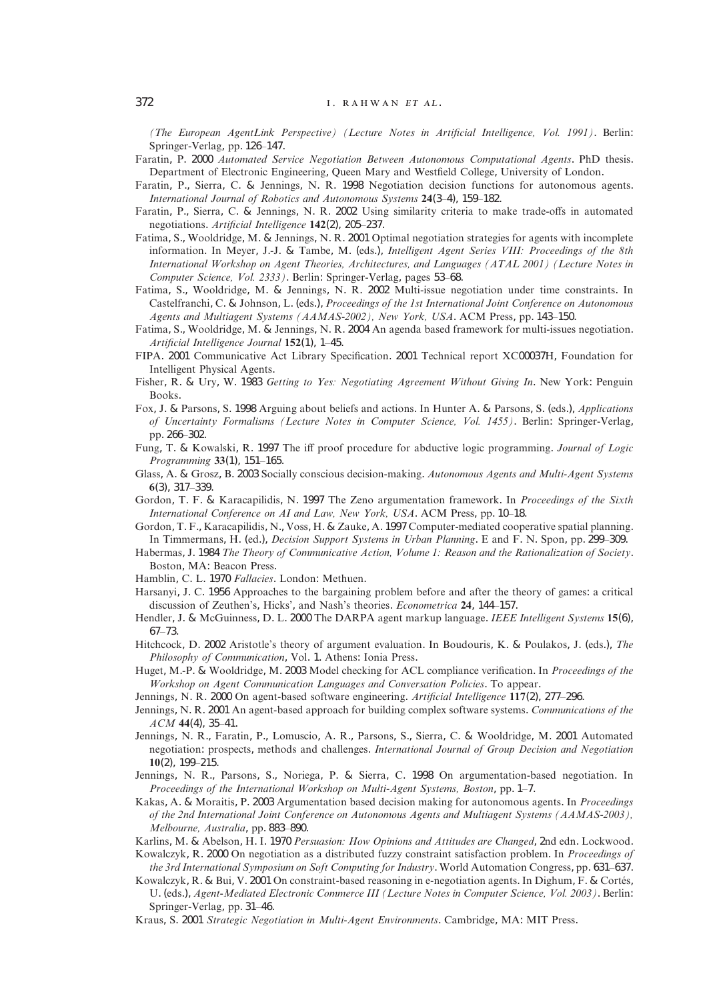*(The European AgentLink Perspective) (Lecture Notes in Artificial Intelligence, Vol. 1991)*. Berlin: Springer-Verlag, pp. 126–147.

- Faratin, P. 2000 *Automated Service Negotiation Between Autonomous Computational Agents*. PhD thesis. Department of Electronic Engineering, Queen Mary and Westfield College, University of London.
- Faratin, P., Sierra, C. & Jennings, N. R. 1998 Negotiation decision functions for autonomous agents. *International Journal of Robotics and Autonomous Systems* **24**(3–4), 159–182.
- Faratin, P., Sierra, C. & Jennings, N. R. 2002 Using similarity criteria to make trade-offs in automated negotiations. *Artificial Intelligence* **142**(2), 205–237.
- Fatima, S., Wooldridge, M. & Jennings, N. R. 2001 Optimal negotiation strategies for agents with incomplete information. In Meyer, J.-J. & Tambe, M. (eds.), *Intelligent Agent Series VIII: Proceedings of the 8th International Workshop on Agent Theories, Architectures, and Languages (ATAL 2001) (Lecture Notes in Computer Science, Vol. 2333)*. Berlin: Springer-Verlag, pages 53–68.
- Fatima, S., Wooldridge, M. & Jennings, N. R. 2002 Multi-issue negotiation under time constraints. In Castelfranchi, C. & Johnson, L. (eds.), *Proceedings of the 1st International Joint Conference on Autonomous Agents and Multiagent Systems (AAMAS-2002), New York, USA*. ACM Press, pp. 143–150.
- Fatima, S., Wooldridge, M. & Jennings, N. R. 2004 An agenda based framework for multi-issues negotiation. *Artificial Intelligence Journal* **152**(1), 1–45.
- FIPA. 2001 Communicative Act Library Specification. 2001 Technical report XC00037H, Foundation for Intelligent Physical Agents.
- Fisher, R. & Ury, W. 1983 *Getting to Yes: Negotiating Agreement Without Giving In*. New York: Penguin Books.
- Fox, J. & Parsons, S. 1998 Arguing about beliefs and actions. In Hunter A. & Parsons, S. (eds.), *Applications of Uncertainty Formalisms (Lecture Notes in Computer Science, Vol. 1455)*. Berlin: Springer-Verlag, pp. 266–302.
- Fung, T. & Kowalski, R. 1997 The iff proof procedure for abductive logic programming. *Journal of Logic Programming* **33**(1), 151–165.
- Glass, A. & Grosz, B. 2003 Socially conscious decision-making. *Autonomous Agents and Multi-Agent Systems* **6**(3), 317–339.
- Gordon, T. F. & Karacapilidis, N. 1997 The Zeno argumentation framework. In *Proceedings of the Sixth International Conference on AI and Law, New York, USA*. ACM Press, pp. 10–18.
- Gordon, T. F., Karacapilidis, N., Voss, H. & Zauke, A. 1997 Computer-mediated cooperative spatial planning. In Timmermans, H. (ed.), *Decision Support Systems in Urban Planning*. E and F. N. Spon, pp. 299–309.
- Habermas, J. 1984 *The Theory of Communicative Action, Volume 1: Reason and the Rationalization of Society*. Boston, MA: Beacon Press.
- Hamblin, C. L. 1970 *Fallacies*. London: Methuen.
- Harsanyi, J. C. 1956 Approaches to the bargaining problem before and after the theory of games: a critical discussion of Zeuthen's, Hicks', and Nash's theories. *Econometrica* **24**, 144–157.
- Hendler, J. & McGuinness, D. L. 2000 The DARPA agent markup language. *IEEE Intelligent Systems* **15**(6), 67–73.
- Hitchcock, D. 2002 Aristotle's theory of argument evaluation. In Boudouris, K. & Poulakos, J. (eds.), *The Philosophy of Communication*, Vol. 1. Athens: Ionia Press.
- Huget, M.-P. & Wooldridge, M. 2003 Model checking for ACL compliance verification. In *Proceedings of the Workshop on Agent Communication Languages and Conversation Policies*. To appear.
- Jennings, N. R. 2000 On agent-based software engineering. *Artificial Intelligence* **117**(2), 277–296.
- Jennings, N. R. 2001 An agent-based approach for building complex software systems. *Communications of the ACM* **44**(4), 35–41.
- Jennings, N. R., Faratin, P., Lomuscio, A. R., Parsons, S., Sierra, C. & Wooldridge, M. 2001 Automated negotiation: prospects, methods and challenges. *International Journal of Group Decision and Negotiation* **10**(2), 199–215.
- Jennings, N. R., Parsons, S., Noriega, P. & Sierra, C. 1998 On argumentation-based negotiation. In *Proceedings of the International Workshop on Multi-Agent Systems, Boston*, pp. 1–7.
- Kakas, A. & Moraitis, P. 2003 Argumentation based decision making for autonomous agents. In *Proceedings of the 2nd International Joint Conference on Autonomous Agents and Multiagent Systems (AAMAS-2003), Melbourne, Australia*, pp. 883–890.
- Karlins, M. & Abelson, H. I. 1970 *Persuasion: How Opinions and Attitudes are Changed*, 2nd edn. Lockwood.
- Kowalczyk, R. 2000 On negotiation as a distributed fuzzy constraint satisfaction problem. In *Proceedings of the 3rd International Symposium on Soft Computing for Industry*. World Automation Congress, pp. 631–637.
- Kowalczyk, R. & Bui, V. 2001 On constraint-based reasoning in e-negotiation agents. In Dighum, F. & Cortés, U. (eds.), *Agent-Mediated Electronic Commerce III (Lecture Notes in Computer Science, Vol. 2003)*. Berlin: Springer-Verlag, pp. 31–46.
- Kraus, S. 2001 *Strategic Negotiation in Multi-Agent Environments*. Cambridge, MA: MIT Press.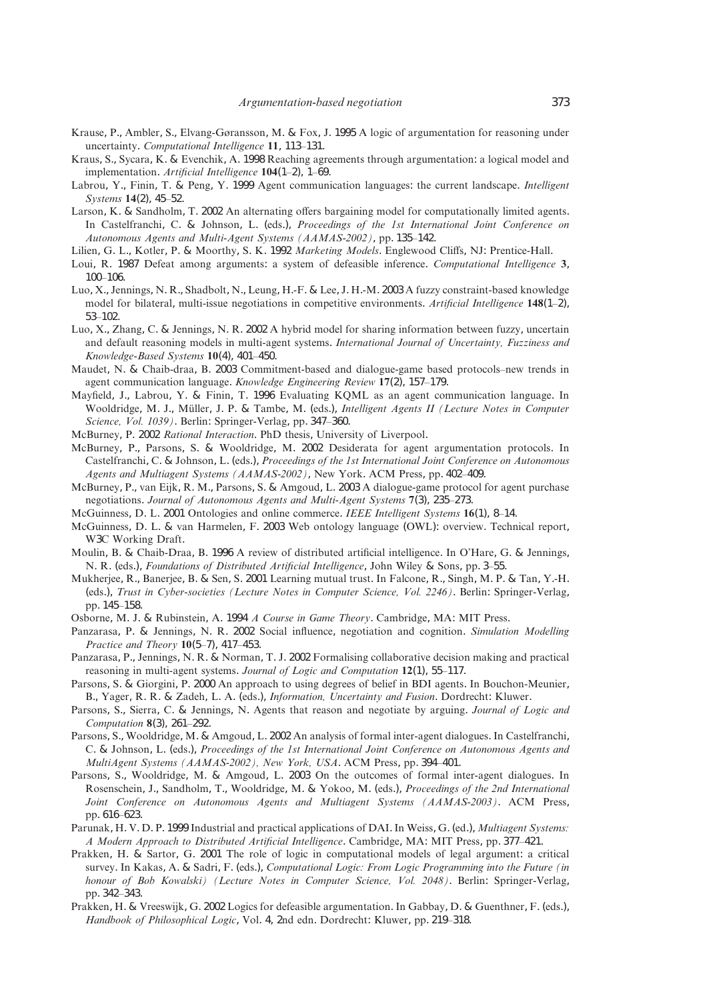- Krause, P., Ambler, S., Elvang-Gøransson, M. & Fox, J. 1995 A logic of argumentation for reasoning under uncertainty. *Computational Intelligence* **11**, 113–131.
- Kraus, S., Sycara, K. & Evenchik, A. 1998 Reaching agreements through argumentation: a logical model and implementation. *Artificial Intelligence* **104**(1–2), 1–69.
- Labrou, Y., Finin, T. & Peng, Y. 1999 Agent communication languages: the current landscape. *Intelligent Systems* **14**(2), 45–52.
- Larson, K. & Sandholm, T. 2002 An alternating offers bargaining model for computationally limited agents. In Castelfranchi, C. & Johnson, L. (eds.), *Proceedings of the 1st International Joint Conference on Autonomous Agents and Multi-Agent Systems (AAMAS-2002)*, pp. 135–142.
- Lilien, G. L., Kotler, P. & Moorthy, S. K. 1992 *Marketing Models*. Englewood Cliffs, NJ: Prentice-Hall.
- Loui, R. 1987 Defeat among arguments: a system of defeasible inference. *Computational Intelligence* **3**, 100–106.
- Luo, X., Jennings, N. R., Shadbolt, N., Leung, H.-F. & Lee, J. H.-M. 2003 A fuzzy constraint-based knowledge model for bilateral, multi-issue negotiations in competitive environments. *Artificial Intelligence* **148**(1–2), 53–102.
- Luo, X., Zhang, C. & Jennings, N. R. 2002 A hybrid model for sharing information between fuzzy, uncertain and default reasoning models in multi-agent systems. *International Journal of Uncertainty, Fuzziness and Knowledge-Based Systems* **10**(4), 401–450.
- Maudet, N. & Chaib-draa, B. 2003 Commitment-based and dialogue-game based protocols–new trends in agent communication language. *Knowledge Engineering Review* **17**(2), 157–179.
- Mayfield, J., Labrou, Y. & Finin, T. 1996 Evaluating KQML as an agent communication language. In Wooldridge, M. J., Müller, J. P. & Tambe, M. (eds.), *Intelligent Agents II (Lecture Notes in Computer Science, Vol. 1039)*. Berlin: Springer-Verlag, pp. 347–360.
- McBurney, P. 2002 *Rational Interaction*. PhD thesis, University of Liverpool.
- McBurney, P., Parsons, S. & Wooldridge, M. 2002 Desiderata for agent argumentation protocols. In Castelfranchi, C. & Johnson, L. (eds.), *Proceedings of the 1st International Joint Conference on Autonomous Agents and Multiagent Systems (AAMAS-2002)*, New York. ACM Press, pp. 402–409.
- McBurney, P., van Eijk, R. M., Parsons, S. & Amgoud, L. 2003 A dialogue-game protocol for agent purchase negotiations. *Journal of Autonomous Agents and Multi-Agent Systems* **7**(3), 235–273.
- McGuinness, D. L. 2001 Ontologies and online commerce. *IEEE Intelligent Systems* **16**(1), 8–14.
- McGuinness, D. L. & van Harmelen, F. 2003 Web ontology language (OWL): overview. Technical report, W3C Working Draft.
- Moulin, B. & Chaib-Draa, B. 1996 A review of distributed artificial intelligence. In O'Hare, G. & Jennings, N. R. (eds.), *Foundations of Distributed Artificial Intelligence*, John Wiley & Sons, pp. 3–55.
- Mukherjee, R., Banerjee, B. & Sen, S. 2001 Learning mutual trust. In Falcone, R., Singh, M. P. & Tan, Y.-H. (eds.), *Trust in Cyber-societies (Lecture Notes in Computer Science, Vol. 2246)*. Berlin: Springer-Verlag, pp. 145–158.
- Osborne, M. J. & Rubinstein, A. 1994 *A Course in Game Theory*. Cambridge, MA: MIT Press.
- Panzarasa, P. & Jennings, N. R. 2002 Social influence, negotiation and cognition. *Simulation Modelling Practice and Theory* **10**(5–7), 417–453.
- Panzarasa, P., Jennings, N. R. & Norman, T. J. 2002 Formalising collaborative decision making and practical reasoning in multi-agent systems. *Journal of Logic and Computation* **12**(1), 55–117.
- Parsons, S. & Giorgini, P. 2000 An approach to using degrees of belief in BDI agents. In Bouchon-Meunier, B., Yager, R. R. & Zadeh, L. A. (eds.), *Information, Uncertainty and Fusion*. Dordrecht: Kluwer.
- Parsons, S., Sierra, C. & Jennings, N. Agents that reason and negotiate by arguing. *Journal of Logic and Computation* **8**(3), 261–292.
- Parsons, S., Wooldridge, M. & Amgoud, L. 2002 An analysis of formal inter-agent dialogues. In Castelfranchi, C. & Johnson, L. (eds.), *Proceedings of the 1st International Joint Conference on Autonomous Agents and MultiAgent Systems (AAMAS-2002), New York, USA*. ACM Press, pp. 394–401.
- Parsons, S., Wooldridge, M. & Amgoud, L. 2003 On the outcomes of formal inter-agent dialogues. In Rosenschein, J., Sandholm, T., Wooldridge, M. & Yokoo, M. (eds.), *Proceedings of the 2nd International Joint Conference on Autonomous Agents and Multiagent Systems (AAMAS-2003)*. ACM Press, pp. 616–623.
- Parunak, H. V. D. P. 1999 Industrial and practical applications of DAI. In Weiss, G. (ed.), *Multiagent Systems: A Modern Approach to Distributed Artificial Intelligence*. Cambridge, MA: MIT Press, pp. 377–421.
- Prakken, H. & Sartor, G. 2001 The role of logic in computational models of legal argument: a critical survey. In Kakas, A. & Sadri, F. (eds.), *Computational Logic: From Logic Programming into the Future (in honour of Bob Kowalski) (Lecture Notes in Computer Science, Vol. 2048)*. Berlin: Springer-Verlag, pp. 342–343.
- Prakken, H. & Vreeswijk, G. 2002 Logics for defeasible argumentation. In Gabbay, D. & Guenthner, F. (eds.), *Handbook of Philosophical Logic*, Vol. 4, 2nd edn. Dordrecht: Kluwer, pp. 219–318.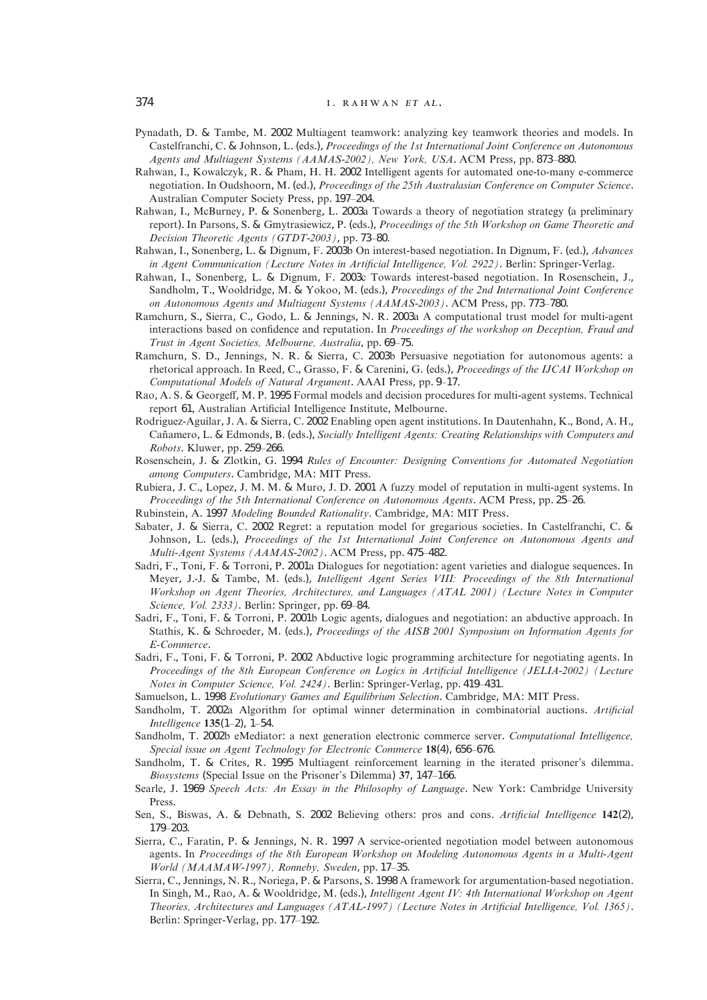- Pynadath, D. & Tambe, M. 2002 Multiagent teamwork: analyzing key teamwork theories and models. In Castelfranchi, C. & Johnson, L. (eds.), *Proceedings of the 1st International Joint Conference on Autonomous Agents and Multiagent Systems (AAMAS-2002), New York, USA*. ACM Press, pp. 873–880.
- Rahwan, I., Kowalczyk, R. & Pham, H. H. 2002 Intelligent agents for automated one-to-many e-commerce negotiation. In Oudshoorn, M. (ed.), *Proceedings of the 25th Australasian Conference on Computer Science*. Australian Computer Society Press, pp. 197–204.
- Rahwan, I., McBurney, P. & Sonenberg, L. 2003a Towards a theory of negotiation strategy (a preliminary report). In Parsons, S. & Gmytrasiewicz, P. (eds.), *Proceedings of the 5th Workshop on Game Theoretic and Decision Theoretic Agents (GTDT-2003)*, pp. 73–80.
- Rahwan, I., Sonenberg, L. & Dignum, F. 2003b On interest-based negotiation. In Dignum, F. (ed.), *Advances in Agent Communication (Lecture Notes in Artificial Intelligence, Vol. 2922)*. Berlin: Springer-Verlag.
- Rahwan, I., Sonenberg, L. & Dignum, F. 2003c Towards interest-based negotiation. In Rosenschein, J., Sandholm, T., Wooldridge, M. & Yokoo, M. (eds.), *Proceedings of the 2nd International Joint Conference on Autonomous Agents and Multiagent Systems (AAMAS-2003)*. ACM Press, pp. 773–780.
- Ramchurn, S., Sierra, C., Godo, L. & Jennings, N. R. 2003a A computational trust model for multi-agent interactions based on confidence and reputation. In *Proceedings of the workshop on Deception, Fraud and Trust in Agent Societies, Melbourne, Australia*, pp. 69–75.
- Ramchurn, S. D., Jennings, N. R. & Sierra, C. 2003b Persuasive negotiation for autonomous agents: a rhetorical approach. In Reed, C., Grasso, F. & Carenini, G. (eds.), *Proceedings of the IJCAI Workshop on Computational Models of Natural Argument*. AAAI Press, pp. 9–17.
- Rao, A. S. & Georgeff, M. P. 1995 Formal models and decision procedures for multi-agent systems. Technical report 61, Australian Artificial Intelligence Institute, Melbourne.
- Rodriguez-Aguílar, J. A. & Sierra, C. 2002 Enabling open agent institutions. In Dautenhahn, K., Bond, A. H., Can˜amero, L. & Edmonds, B. (eds.), *Socially Intelligent Agents: Creating Relationships with Computers and Robots*. Kluwer, pp. 259–266.
- Rosenschein, J. & Zlotkin, G. 1994 *Rules of Encounter: Designing Conventions for Automated Negotiation among Computers*. Cambridge, MA: MIT Press.
- Rubiera, J. C., Lopez, J. M. M. & Muro, J. D. 2001 A fuzzy model of reputation in multi-agent systems. In *Proceedings of the 5th International Conference on Autonomous Agents*. ACM Press, pp. 25–26.
- Rubinstein, A. 1997 *Modeling Bounded Rationality*. Cambridge, MA: MIT Press.
- Sabater, J. & Sierra, C. 2002 Regret: a reputation model for gregarious societies. In Castelfranchi, C. & Johnson, L. (eds.), *Proceedings of the 1st International Joint Conference on Autonomous Agents and Multi-Agent Systems (AAMAS-2002)*. ACM Press, pp. 475–482.
- Sadri, F., Toni, F. & Torroni, P. 2001a Dialogues for negotiation: agent varieties and dialogue sequences. In Meyer, J.-J. & Tambe, M. (eds.), *Intelligent Agent Series VIII: Proceedings of the 8th International Workshop on Agent Theories, Architectures, and Languages (ATAL 2001) (Lecture Notes in Computer Science, Vol. 2333)*. Berlin: Springer, pp. 69–84.
- Sadri, F., Toni, F. & Torroni, P. 2001b Logic agents, dialogues and negotiation: an abductive approach. In Stathis, K. & Schroeder, M. (eds.), *Proceedings of the AISB 2001 Symposium on Information Agents for E-Commerce*.
- Sadri, F., Toni, F. & Torroni, P. 2002 Abductive logic programming architecture for negotiating agents. In *Proceedings of the 8th European Conference on Logics in Artificial Intelligence (JELIA-2002) (Lecture Notes in Computer Science, Vol. 2424)*. Berlin: Springer-Verlag, pp. 419–431.
- Samuelson, L. 1998 *Evolutionary Games and Equilibrium Selection*. Cambridge, MA: MIT Press.
- Sandholm, T. 2002a Algorithm for optimal winner determination in combinatorial auctions. *Artificial Intelligence* **135**(1–2), 1–54.
- Sandholm, T. 2002b eMediator: a next generation electronic commerce server. *Computational Intelligence, Special issue on Agent Technology for Electronic Commerce* **18**(4), 656–676.
- Sandholm, T. & Crites, R. 1995 Multiagent reinforcement learning in the iterated prisoner's dilemma. *Biosystems* (Special Issue on the Prisoner's Dilemma) **37**, 147–166.
- Searle, J. 1969 *Speech Acts: An Essay in the Philosophy of Language*. New York: Cambridge University Press.
- Sen, S., Biswas, A. & Debnath, S. 2002 Believing others: pros and cons. *Artificial Intelligence* **142**(2), 179–203.
- Sierra, C., Faratin, P. & Jennings, N. R. 1997 A service-oriented negotiation model between autonomous agents. In *Proceedings of the 8th European Workshop on Modeling Autonomous Agents in a Multi-Agent World (MAAMAW-1997), Ronneby, Sweden*, pp. 17–35.
- Sierra, C., Jennings, N. R., Noriega, P. & Parsons, S. 1998 A framework for argumentation-based negotiation. In Singh, M., Rao, A. & Wooldridge, M. (eds.), *Intelligent Agent IV: 4th International Workshop on Agent Theories, Architectures and Languages (ATAL-1997) (Lecture Notes in Artificial Intelligence, Vol. 1365)*. Berlin: Springer-Verlag, pp. 177–192.